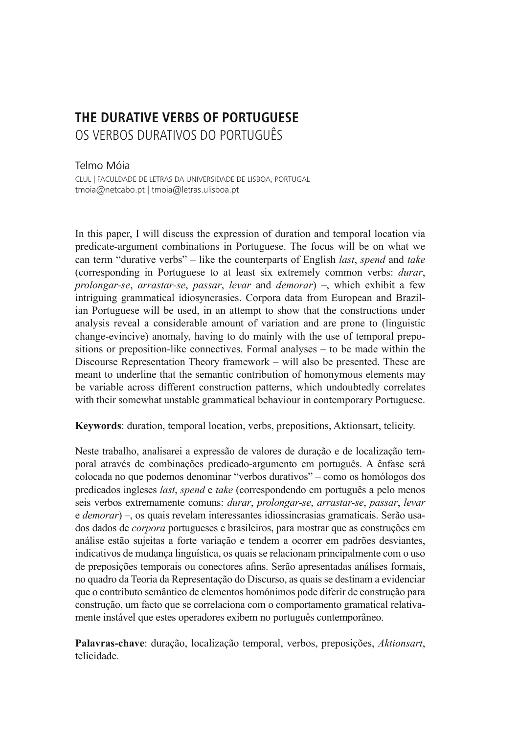# **THE DURATIVE VERBS OF PORTUGUESE** OS VERBOS DURATIVOS DO PORTUGUÊS

## Telmo Móia

CLUL | FACULDADE DE LETRAS DA UNIVERSIDADE DE LISBOA, PORTUGAL tmoia@netcabo.pt | tmoia@letras.ulisboa.pt

In this paper, I will discuss the expression of duration and temporal location via predicate-argument combinations in Portuguese. The focus will be on what we can term "durative verbs" – like the counterparts of English *last*, *spend* and *take* (corresponding in Portuguese to at least six extremely common verbs: *durar*, *prolongar-se*, *arrastar-se*, *passar*, *levar* and *demorar*) –, which exhibit a few intriguing grammatical idiosyncrasies. Corpora data from European and Brazilian Portuguese will be used, in an attempt to show that the constructions under analysis reveal a considerable amount of variation and are prone to (linguistic change-evincive) anomaly, having to do mainly with the use of temporal prepositions or preposition-like connectives. Formal analyses – to be made within the Discourse Representation Theory framework – will also be presented. These are meant to underline that the semantic contribution of homonymous elements may be variable across different construction patterns, which undoubtedly correlates with their somewhat unstable grammatical behaviour in contemporary Portuguese.

**Keywords**: duration, temporal location, verbs, prepositions, Aktionsart, telicity.

Neste trabalho, analisarei a expressão de valores de duração e de localização temporal através de combinações predicado-argumento em português. A ênfase será colocada no que podemos denominar "verbos durativos" – como os homólogos dos predicados ingleses *last*, *spend* e *take* (correspondendo em português a pelo menos seis verbos extremamente comuns: *durar*, *prolongar-se*, *arrastar-se*, *passar*, *levar* e *demorar*) –, os quais revelam interessantes idiossincrasias gramaticais. Serão usados dados de *corpora* portugueses e brasileiros, para mostrar que as construções em análise estão sujeitas a forte variação e tendem a ocorrer em padrões desviantes, indicativos de mudança linguística, os quais se relacionam principalmente com o uso de preposições temporais ou conectores afins. Serão apresentadas análises formais, no quadro da Teoria da Representação do Discurso, as quais se destinam a evidenciar que o contributo semântico de elementos homónimos pode diferir de construção para construção, um facto que se correlaciona com o comportamento gramatical relativamente instável que estes operadores exibem no português contemporâneo.

**Palavras-chave**: duração, localização temporal, verbos, preposições, *Aktionsart*, telicidade.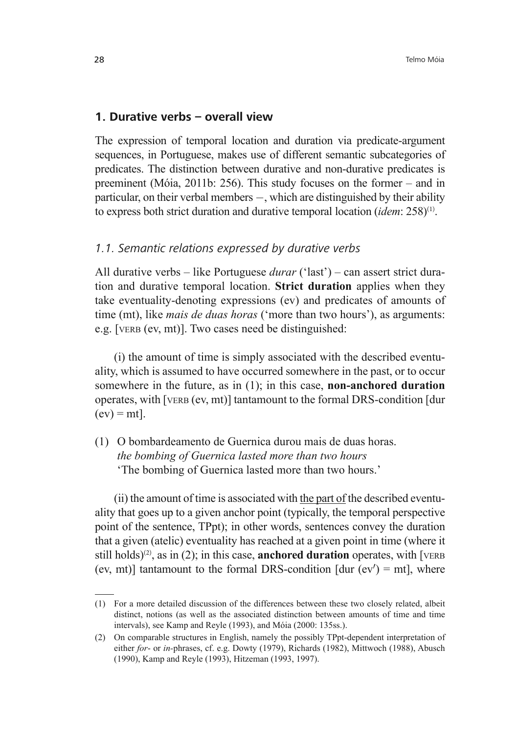### **1. Durative verbs – overall view**

The expression of temporal location and duration via predicate-argument sequences, in Portuguese, makes use of different semantic subcategories of predicates. The distinction between durative and non-durative predicates is preeminent (Móia, 2011b: 256). This study focuses on the former – and in particular, on their verbal members  $-$ , which are distinguished by their ability to express both strict duration and durative temporal location (*idem*: 258)<sup>(1)</sup>.

### *1.1. Semantic relations expressed by durative verbs*

All durative verbs – like Portuguese *durar* ('last') – can assert strict duration and durative temporal location. **Strict duration** applies when they take eventuality-denoting expressions (ev) and predicates of amounts of time (mt), like *mais de duas horas* ('more than two hours'), as arguments: e.g. [VERB (ev, mt)]. Two cases need be distinguished:

(i) the amount of time is simply associated with the described eventuality, which is assumed to have occurred somewhere in the past, or to occur somewhere in the future, as in (1); in this case, **non-anchored duration** operates, with [VERB (ev, mt)] tantamount to the formal DRS-condition [dur  $(ev) = mt$ ].

(1) O bombardeamento de Guernica durou mais de duas horas. *the bombing of Guernica lasted more than two hours* 'The bombing of Guernica lasted more than two hours.'

(ii) the amount of time is associated with the part of the described eventuality that goes up to a given anchor point (typically, the temporal perspective point of the sentence, TPpt); in other words, sentences convey the duration that a given (atelic) eventuality has reached at a given point in time (where it still holds)<sup>(2)</sup>, as in (2); in this case, **anchored duration** operates, with [VERB] (ev, mt)] tantamount to the formal DRS-condition  $[dur (ev') = mt]$ , where

<sup>(1)</sup> For a more detailed discussion of the differences between these two closely related, albeit distinct, notions (as well as the associated distinction between amounts of time and time intervals), see Kamp and Reyle (1993), and Móia (2000: 135ss.).

<sup>(2)</sup> On comparable structures in English, namely the possibly TPpt-dependent interpretation of either *for*- or *in-*phrases, cf. e.g. Dowty (1979), Richards (1982), Mittwoch (1988), Abusch (1990), Kamp and Reyle (1993), Hitzeman (1993, 1997).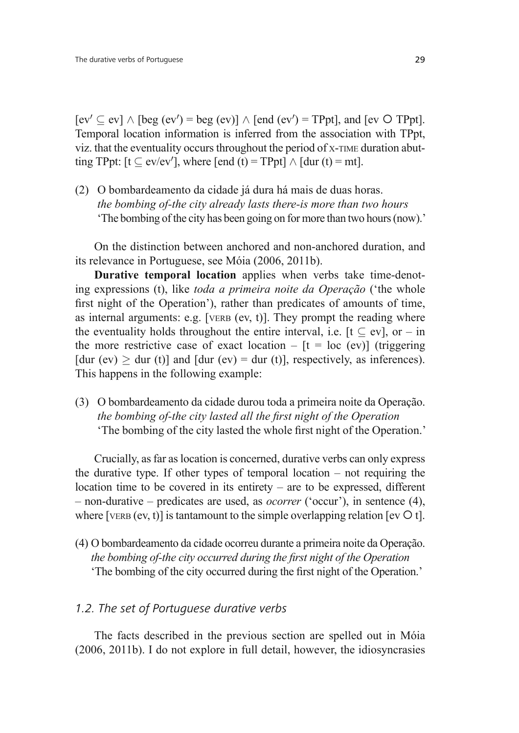$[ev' \subset ev] \wedge [beg (ev') = beg (ev)] \wedge [end (ev') = TPpt]$ , and  $[ev' \subset ev] \wedge [beg (ev') = beg (ev)]$ Temporal location information is inferred from the association with TPpt, viz. that the eventuality occurs throughout the period of X-TIME duration abutting TPpt:  $[t \subset ev/ev']$ , where  $[end (t) = TPpt] \wedge [dur (t) = mt]$ .

(2) O bombardeamento da cidade já dura há mais de duas horas. *the bombing of-the city already lasts there-is more than two hours* 'The bombing of the city has been going on for more than two hours (now).'

On the distinction between anchored and non-anchored duration, and its relevance in Portuguese, see Móia (2006, 2011b).

**Durative temporal location** applies when verbs take time-denoting expressions (t), like *toda a primeira noite da Operação* ('the whole first night of the Operation'), rather than predicates of amounts of time, as internal arguments: e.g. [VERB  $(ev, t)$ ]. They prompt the reading where the eventuality holds throughout the entire interval, i.e.  $[t \subset ev]$ , or – in the more restrictive case of exact location –  $[t = loc (ev)]$  (triggering [dur (ev)  $>$  dur (t)] and [dur (ev) = dur (t)], respectively, as inferences). This happens in the following example:

(3) O bombardeamento da cidade durou toda a primeira noite da Operação. *the bombing of-the city lasted all the first night of the Operation* 'The bombing of the city lasted the whole first night of the Operation.'

Crucially, as far as location is concerned, durative verbs can only express the durative type. If other types of temporal location – not requiring the location time to be covered in its entirety – are to be expressed, different – non-durative – predicates are used, as *ocorrer* ('occur'), in sentence (4), where [VERB (ev, t)] is tantamount to the simple overlapping relation [ev  ${\circ}$  t].

(4) O bombardeamento da cidade ocorreu durante a primeira noite da Operação. *the bombing of-the city occurred during the first night of the Operation* 'The bombing of the city occurred during the first night of the Operation.'

## *1.2. The set of Portuguese durative verbs*

The facts described in the previous section are spelled out in Móia (2006, 2011b). I do not explore in full detail, however, the idiosyncrasies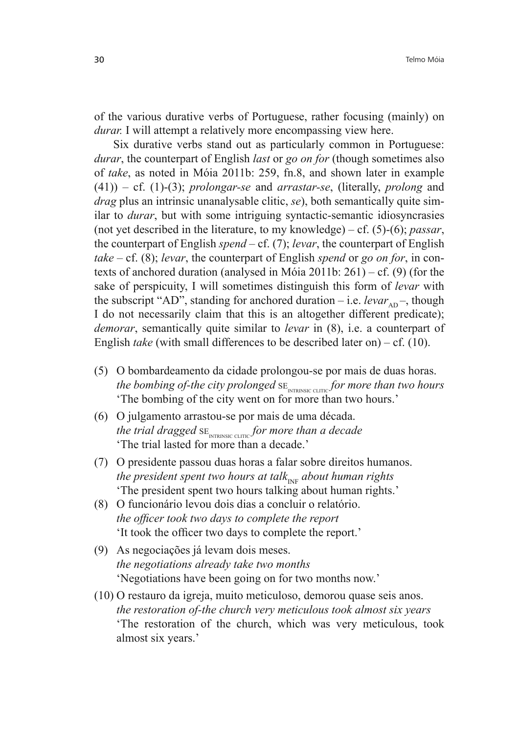of the various durative verbs of Portuguese, rather focusing (mainly) on *durar.* I will attempt a relatively more encompassing view here.

Six durative verbs stand out as particularly common in Portuguese: *durar*, the counterpart of English *last* or *go on for* (though sometimes also of *take*, as noted in Móia 2011b: 259, fn.8, and shown later in example (41)) – cf. (1)-(3); *prolongar-se* and *arrastar-se*, (literally, *prolong* and *drag* plus an intrinsic unanalysable clitic, *se*), both semantically quite similar to *durar*, but with some intriguing syntactic-semantic idiosyncrasies (not yet described in the literature, to my knowledge) – cf. (5)-(6); *passar*, the counterpart of English *spend* – cf. (7); *levar*, the counterpart of English *take* – cf. (8); *levar*, the counterpart of English *spend* or *go on for*, in contexts of anchored duration (analysed in Móia 2011b: 261) – cf. (9) (for the sake of perspicuity, I will sometimes distinguish this form of *levar* with the subscript "AD", standing for anchored duration – i.e.  $levar_{AD}$ , though I do not necessarily claim that this is an altogether different predicate); *demorar*, semantically quite similar to *levar* in (8), i.e. a counterpart of English *take* (with small differences to be described later on) – cf. (10).

- (5) O bombardeamento da cidade prolongou-se por mais de duas horas. the bombing of-the city prolonged  $\text{SE}_{\text{\tiny{INTRINSIC CLITIC}}}$  for more than two hours 'The bombing of the city went on for more than two hours.'
- (6) O julgamento arrastou-se por mais de uma década. the trial dragged  $\text{SE}_{\text{\tiny{INTRINSIC CLITIC}}}$  for more than a decade 'The trial lasted for more than a decade.'
- (7) O presidente passou duas horas a falar sobre direitos humanos. *the president spent two hours at talk<sub>INF</sub> about human rights* 'The president spent two hours talking about human rights.'
- (8) O funcionário levou dois dias a concluir o relatório. *the officer took two days to complete the report* It took the officer two days to complete the report.'
- (9) As negociações já levam dois meses. *the negotiations already take two months* 'Negotiations have been going on for two months now.'
- (10) O restauro da igreja, muito meticuloso, demorou quase seis anos.  *the restoration of-the church very meticulous took almost six years* 'The restoration of the church, which was very meticulous, took almost six years.'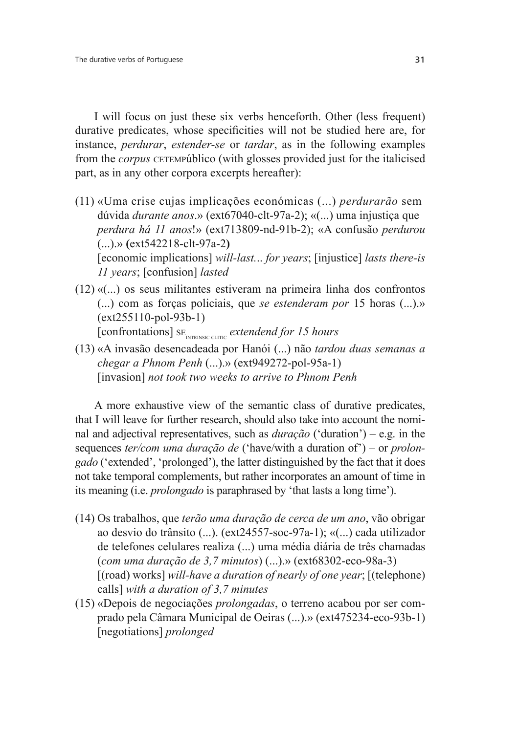I will focus on just these six verbs henceforth. Other (less frequent) durative predicates, whose specificities will not be studied here are, for instance, *perdurar*, *estender-se* or *tardar*, as in the following examples from the *corpus* CETEMPúblico (with glosses provided just for the italicised part, as in any other corpora excerpts hereafter):

- (11) «Uma crise cujas implicações económicas (...) *perdurarão* sem dúvida *durante anos*.» (ext67040-clt-97a-2); «(...) uma injustiça que *perdura há 11 anos*!» (ext713809-nd-91b-2); «A confusão *perdurou* (...).» **(**ext542218-clt-97a-2**)** [economic implications] *will-last.*.. *for years*; [injustice] *lasts there-is 11 years*; [confusion] *lasted*
- (12) «(...) os seus militantes estiveram na primeira linha dos confrontos (...) com as forças policiais, que *se estenderam por* 15 horas (...).» (ext255110-pol-93b-1) [confrontations] SE<sub>INTRINSIC CLITIC</sub> extendend for 15 hours
- (13) «A invasão desencadeada por Hanói (...) não *tardou duas semanas a chegar a Phnom Penh* (...).» (ext949272-pol-95a-1) [invasion] *not took two weeks to arrive to Phnom Penh*

A more exhaustive view of the semantic class of durative predicates, that I will leave for further research, should also take into account the nominal and adjectival representatives, such as *duração* ('duration') – e.g. in the sequences *ter/com uma duração de* ('have/with a duration of') – or *prolongado* ('extended', 'prolonged'), the latter distinguished by the fact that it does not take temporal complements, but rather incorporates an amount of time in its meaning (i.e. *prolongado* is paraphrased by 'that lasts a long time').

- (14) Os trabalhos, que *terão uma duração de cerca de um ano*, vão obrigar ao desvio do trânsito (...). (ext24557-soc-97a-1); «(...) cada utilizador de telefones celulares realiza (...) uma média diária de três chamadas (*com uma duração de 3,7 minutos*) (...).» (ext68302-eco-98a-3) [(road) works] *will-have a duration of nearly of one year*; [(telephone) calls] *with a duration of 3,7 minutes*
- (15) «Depois de negociações *prolongadas*, o terreno acabou por ser comprado pela Câmara Municipal de Oeiras (...).» (ext475234-eco-93b-1) [negotiations] *prolonged*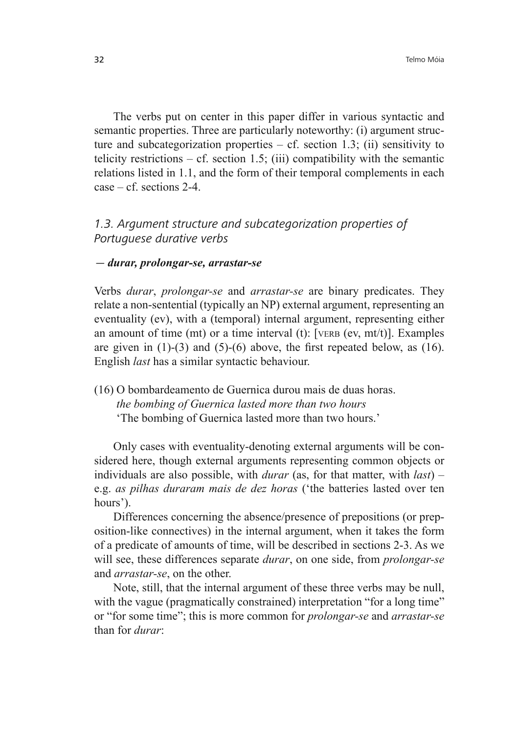The verbs put on center in this paper differ in various syntactic and semantic properties. Three are particularly noteworthy: (i) argument structure and subcategorization properties  $- cf.$  section 1.3; (ii) sensitivity to telicity restrictions – cf. section 1.5; (iii) compatibility with the semantic relations listed in 1.1, and the form of their temporal complements in each  $case - cf.$  sections  $2-4$ .

# *1.3. Argument structure and subcategorization properties of Portuguese durative verbs*

#### *durar, prolongar-se, arrastar-se*

Verbs *durar*, *prolongar-se* and *arrastar-se* are binary predicates. They relate a non-sentential (typically an NP) external argument, representing an eventuality (ev), with a (temporal) internal argument, representing either an amount of time (mt) or a time interval (t): [VERB (ev, mt/t)]. Examples are given in  $(1)$ - $(3)$  and  $(5)$ - $(6)$  above, the first repeated below, as  $(16)$ . English *last* has a similar syntactic behaviour.

(16) O bombardeamento de Guernica durou mais de duas horas.  *the bombing of Guernica lasted more than two hours* 'The bombing of Guernica lasted more than two hours.'

Only cases with eventuality-denoting external arguments will be considered here, though external arguments representing common objects or individuals are also possible, with *durar* (as, for that matter, with *last*) – e.g. *as pilhas duraram mais de dez horas* ('the batteries lasted over ten hours').

Differences concerning the absence/presence of prepositions (or preposition-like connectives) in the internal argument, when it takes the form of a predicate of amounts of time, will be described in sections 2-3. As we will see, these differences separate *durar*, on one side, from *prolongar-se*  and *arrastar-se*, on the other.

Note, still, that the internal argument of these three verbs may be null, with the vague (pragmatically constrained) interpretation "for a long time" or "for some time"; this is more common for *prolongar-se* and *arrastar-se*  than for *durar*: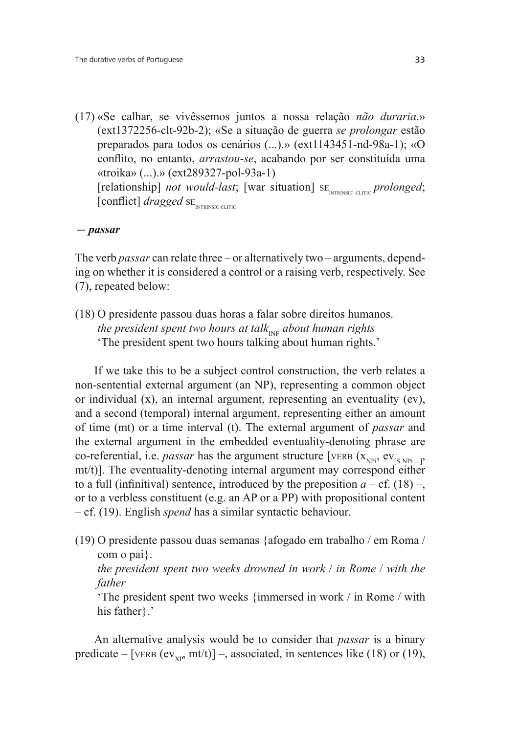(17) «Se calhar, se vivêssemos juntos a nossa relação *não duraria*.» (ext1372256-clt-92b-2); «Se a situação de guerra *se prolongar* estão preparados para todos os cenários (...).» (ext1143451-nd-98a-1); «O conflito, no entanto, *arrastou-se*, acabando por ser constituída uma «troika» (...).» (ext289327-pol-93a-1) [relationship] *not would-last*; [war situation] SE<sub>INTRINSIC CLITIC</sub> prolonged; [conflict] *dragged* SE<sub>INTRINSIC CLITIC</sub>

 *passar*

The verb *passar* can relate three – or alternatively two – arguments, depending on whether it is considered a control or a raising verb, respectively. See (7), repeated below:

(18) O presidente passou duas horas a falar sobre direitos humanos. *the president spent two hours at talk<sub>INF</sub> about human rights* 'The president spent two hours talking about human rights.'

If we take this to be a subject control construction, the verb relates a non-sentential external argument (an NP), representing a common object or individual (x), an internal argument, representing an eventuality (ev), and a second (temporal) internal argument, representing either an amount of time (mt) or a time interval (t). The external argument of *passar* and the external argument in the embedded eventuality-denoting phrase are co-referential, i.e. *passar* has the argument structure [VERB  $(x_{NPi}, ev_{IS NPi}$ ], mt/t)]. The eventuality-denoting internal argument may correspond either to a full (infinitival) sentence, introduced by the preposition  $a - cf.$  (18) –, or to a verbless constituent (e.g. an AP or a PP) with propositional content – cf. (19). English *spend* has a similar syntactic behaviour.

(19) O presidente passou duas semanas {afogado em trabalho / em Roma / com o pai}.

 *the president spent two weeks drowned in work* / *in Rome* / *with the father*

 'The president spent two weeks {immersed in work / in Rome / with his father ?.

An alternative analysis would be to consider that *passar* is a binary predicate – [VERB (ev<sub>xp</sub>, mt/t)] –, associated, in sentences like (18) or (19),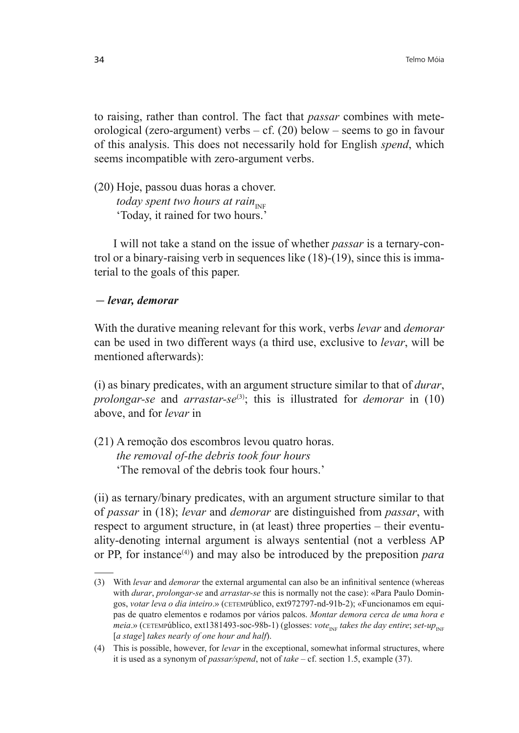to raising, rather than control. The fact that *passar* combines with meteorological (zero-argument) verbs – cf. (20) below – seems to go in favour of this analysis. This does not necessarily hold for English *spend*, which seems incompatible with zero-argument verbs.

(20) Hoje, passou duas horas a chover. *today spent two hours at rain*<sub>INF</sub> 'Today, it rained for two hours.'

I will not take a stand on the issue of whether *passar* is a ternary-control or a binary-raising verb in sequences like (18)-(19), since this is immaterial to the goals of this paper.

### *levar, demorar*

With the durative meaning relevant for this work, verbs *levar* and *demorar* can be used in two different ways (a third use, exclusive to *levar*, will be mentioned afterwards):

(i) as binary predicates, with an argument structure similar to that of *durar*, *prolongar-se* and *arrastar-se*<sup>(3)</sup>; this is illustrated for *demorar* in (10) above, and for *levar* in

(21) A remoção dos escombros levou quatro horas. *the removal of-the debris took four hours* 'The removal of the debris took four hours.'

(ii) as ternary/binary predicates, with an argument structure similar to that of *passar* in (18); *levar* and *demorar* are distinguished from *passar*, with respect to argument structure, in (at least) three properties – their eventuality-denoting internal argument is always sentential (not a verbless AP or PP, for instance(4)) and may also be introduced by the preposition *para* 

<sup>(3)</sup> With *levar* and *demorar* the external argumental can also be an infinitival sentence (whereas with *durar*, *prolongar-se* and *arrastar-se* this is normally not the case): «Para Paulo Domingos, *votar leva o dia inteiro*.» (CETEMPúblico, ext972797-nd-91b-2); «Funcionamos em equipas de quatro elementos e rodamos por vários palcos. *Montar demora cerca de uma hora e meia*.» (CETEMPúblico, ext1381493-soc-98b-1) (glosses: *vote<sub>INF</sub> takes the day entire*; *set-up*<sub>INF</sub> [*a stage*] *takes nearly of one hour and half*).

<sup>(4)</sup> This is possible, however, for *levar* in the exceptional, somewhat informal structures, where it is used as a synonym of *passar/spend*, not of *take* – cf. section 1.5, example (37).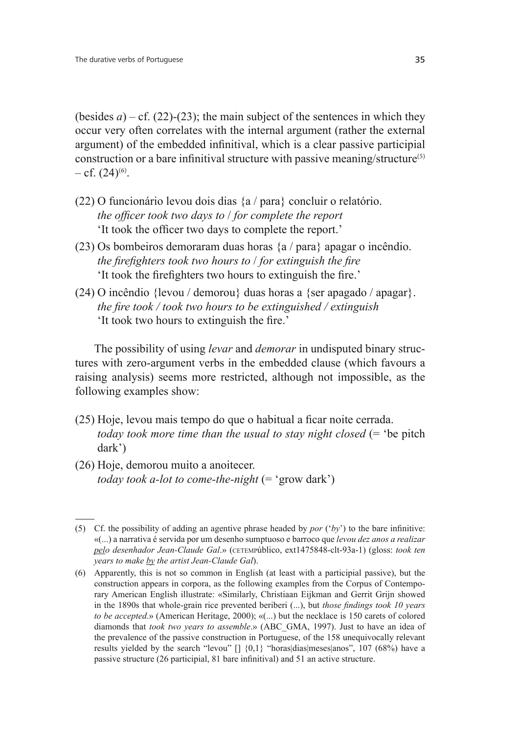(besides  $a$ ) – cf. (22)-(23); the main subject of the sentences in which they occur very often correlates with the internal argument (rather the external argument) of the embedded infinitival, which is a clear passive participial construction or a bare infinitival structure with passive meaning/structure<sup>(5)</sup>  $-$  cf.  $(24)^{(6)}$ .

- (22) O funcionário levou dois dias {a / para} concluir o relatório. *the officer took two days to / for complete the report* It took the officer two days to complete the report.'
- (23) Os bombeiros demoraram duas horas {a / para} apagar o incêndio. *the firefighters took two hours to / for extinguish the fire* It took the firefighters two hours to extinguish the fire.'
- (24) O incêndio {levou / demorou} duas horas a {ser apagado / apagar}. *the fire took / took two hours to be extinguished / extinguish* It took two hours to extinguish the fire.'

The possibility of using *levar* and *demorar* in undisputed binary structures with zero-argument verbs in the embedded clause (which favours a raising analysis) seems more restricted, although not impossible, as the following examples show:

- $(25)$  Hoje, levou mais tempo do que o habitual a ficar noite cerrada. *today took more time than the usual to stay night closed* (= 'be pitch dark')
- (26) Hoje, demorou muito a anoitecer. *today took a-lot to come-the-night* (= 'grow dark')

<sup>(5)</sup> Cf. the possibility of adding an agentive phrase headed by *por*  $('by')$  to the bare infinitive: «(...) a narrativa é servida por um desenho sumptuoso e barroco que *levou dez anos a realizar pelo desenhador Jean-Claude Gal*.» (CETEMPúblico, ext1475848-clt-93a-1) (gloss: *took ten years to make by the artist Jean-Claude Gal*).

<sup>(6)</sup> Apparently, this is not so common in English (at least with a participial passive), but the construction appears in corpora, as the following examples from the Corpus of Contemporary American English illustrate: «Similarly, Christiaan Eijkman and Gerrit Grijn showed in the 1890s that whole-grain rice prevented beriberi (...), but *those findings took 10 years to be accepted*.» (American Heritage, 2000); «(...) but the necklace is 150 carets of colored diamonds that *took two years to assemble*.» (ABC\_GMA, 1997). Just to have an idea of the prevalence of the passive construction in Portuguese, of the 158 unequivocally relevant results yielded by the search "levou" [] {0,1} "horas|dias|meses|anos", 107 (68%) have a passive structure  $(26$  participial, 81 bare infinitival) and 51 an active structure.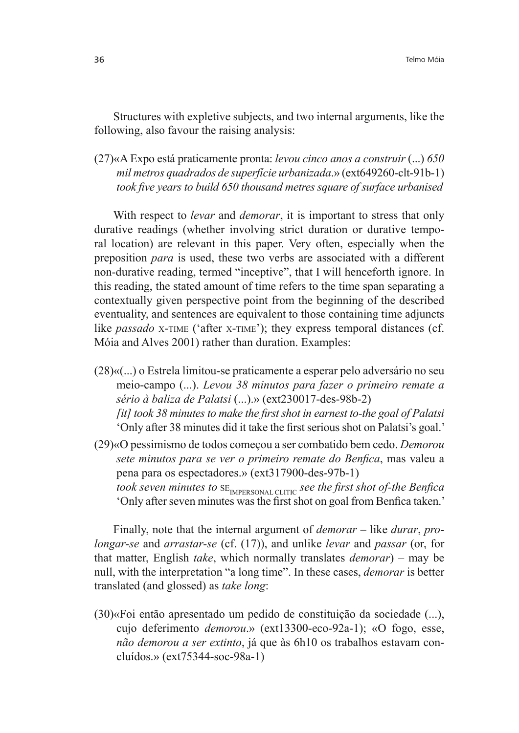Structures with expletive subjects, and two internal arguments, like the following, also favour the raising analysis:

(27)«A Expo está praticamente pronta: *levou cinco anos a construir* (...) *mil metros quadrados de superfície urbanizada*.» (ext649260-clt-91b-1) *took five years to build 650 thousand metres square of surface urbanised* 

With respect to *levar* and *demorar*, it is important to stress that only durative readings (whether involving strict duration or durative temporal location) are relevant in this paper. Very often, especially when the preposition *para* is used, these two verbs are associated with a different non-durative reading, termed "inceptive", that I will henceforth ignore. In this reading, the stated amount of time refers to the time span separating a contextually given perspective point from the beginning of the described eventuality, and sentences are equivalent to those containing time adjuncts like *passado* X-TIME ('after X-TIME'); they express temporal distances (cf. Móia and Alves 2001) rather than duration. Examples:

(28)«(...) o Estrela limitou-se praticamente a esperar pelo adversário no seu meio-campo (...). *Levou 38 minutos para fazer o primeiro remate a sério à baliza de Palatsi* (...).» (ext230017-des-98b-2) *[it]* took 38 minutes to make the first shot in earnest to-the goal of Palatsi 'Only after 38 minutes did it take the first serious shot on Palatsi's goal.'

(29)«O pessimismo de todos começou a ser combatido bem cedo. *Demorou sete minutos para se ver o primeiro remate do Benfica*, mas valeu a pena para os espectadores.» (ext317900-des-97b-1) *took seven minutes to*  $SE$ <sub>IMPERSONAL CLITIC</sub> *see the first shot of-the Benfica* 'Only after seven minutes was the first shot on goal from Benfica taken.'

Finally, note that the internal argument of *demorar* – like *durar*, *prolongar-se* and *arrastar-se* (cf. (17)), and unlike *levar* and *passar* (or, for that matter, English *take*, which normally translates *demorar*) – may be null, with the interpretation "a long time". In these cases, *demorar* is better translated (and glossed) as *take long*:

(30)«Foi então apresentado um pedido de constituição da sociedade (...), cujo deferimento *demorou*.» (ext13300-eco-92a-1); «O fogo, esse, *não demorou a ser extinto*, já que às 6h10 os trabalhos estavam concluídos.» (ext75344-soc-98a-1)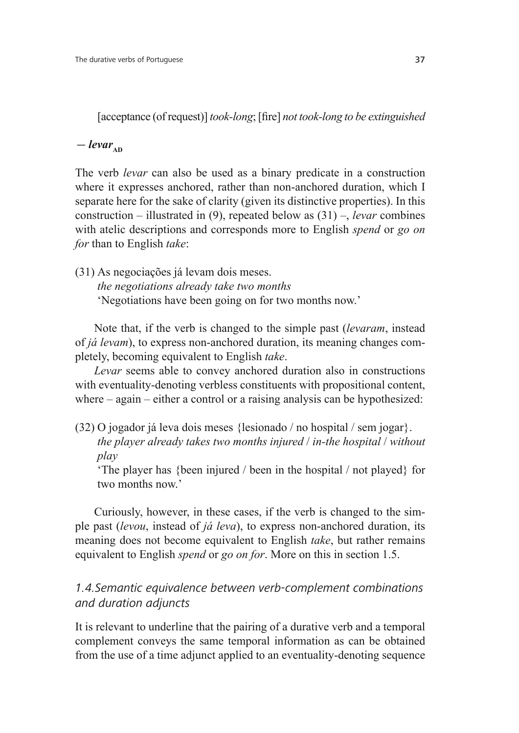[acceptance (of request)] *took-long*; [fire] *not took-long to be extinguished* 

 $-\textit{levar}_{\text{AD}}$ 

The verb *levar* can also be used as a binary predicate in a construction where it expresses anchored, rather than non-anchored duration, which I separate here for the sake of clarity (given its distinctive properties). In this construction – illustrated in (9), repeated below as (31) –, *levar* combines with atelic descriptions and corresponds more to English *spend* or *go on for* than to English *take*:

(31) As negociações já levam dois meses. *the negotiations already take two months* 'Negotiations have been going on for two months now.'

Note that, if the verb is changed to the simple past (*levaram*, instead of *já levam*), to express non-anchored duration, its meaning changes completely, becoming equivalent to English *take*.

*Levar* seems able to convey anchored duration also in constructions with eventuality-denoting verbless constituents with propositional content, where – again – either a control or a raising analysis can be hypothesized:

(32) O jogador já leva dois meses {lesionado / no hospital / sem jogar}.  *the player already takes two months injured* / *in-the hospital* / *without play*

 'The player has {been injured / been in the hospital / not played} for two months now'

Curiously, however, in these cases, if the verb is changed to the simple past (*levou*, instead of *já leva*), to express non-anchored duration, its meaning does not become equivalent to English *take*, but rather remains equivalent to English *spend* or *go on for*. More on this in section 1.5.

# *1.4.Semantic equivalence between verb-complement combinations and duration adjuncts*

It is relevant to underline that the pairing of a durative verb and a temporal complement conveys the same temporal information as can be obtained from the use of a time adjunct applied to an eventuality-denoting sequence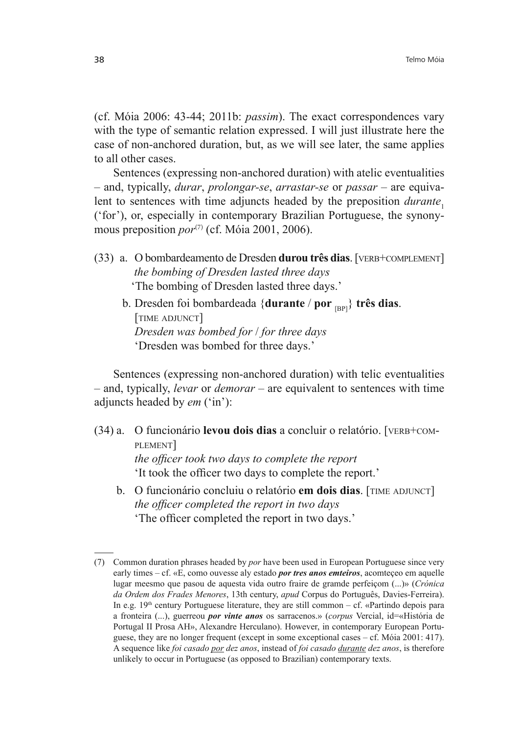(cf. Móia 2006: 43-44; 2011b: *passim*). The exact correspondences vary with the type of semantic relation expressed. I will just illustrate here the case of non-anchored duration, but, as we will see later, the same applies to all other cases.

Sentences (expressing non-anchored duration) with atelic eventualities – and, typically, *durar*, *prolongar-se*, *arrastar-se* or *passar* – are equivalent to sentences with time adjuncts headed by the preposition *durante*<sub>1</sub> ('for'), or, especially in contemporary Brazilian Portuguese, the synonymous preposition  $por^{(7)}$  (cf. Móia 2001, 2006).

- (33) a. O bombardeamento de Dresden **durou três dias**. [VERB+COMPLEMENT] *the bombing of Dresden lasted three days* 'The bombing of Dresden lasted three days.'
	- b. Dresden foi bombardeada {**durante** / **por** [BP]} **três dias**. [TIME ADJUNCT]  *Dresden was bombed for* / *for three days* 'Dresden was bombed for three days.'

Sentences (expressing non-anchored duration) with telic eventualities – and, typically, *levar* or *demorar* – are equivalent to sentences with time adjuncts headed by *em* ('in'):

- (34) a. O funcionário **levou dois dias** a concluir o relatório. [VERB+COM-PLEMENT] *the officer took two days to complete the report* 'It took the officer two days to complete the report.'
	- b. O funcionário concluiu o relatório **em dois dias**. [TIME ADJUNCT] *the officer completed the report in two days* The officer completed the report in two days.'

<sup>(7)</sup> Common duration phrases headed by *por* have been used in European Portuguese since very early times – cf. «E, como ouvesse aly estado *por tres anos emteiros*, acomteçeo em aquelle lugar meesmo que pasou de aquesta vida outro fraire de gramde perfeiçom (...)» (*Crónica da Ordem dos Frades Menores*, 13th century, *apud* Corpus do Português, Davies-Ferreira). In e.g.  $19<sup>th</sup>$  century Portuguese literature, they are still common – cf. «Partindo depois para a fronteira (...), guerreou *por vinte anos* os sarracenos.» (*corpus* Vercial, id=«História de Portugal II Prosa AH», Alexandre Herculano). However, in contemporary European Portuguese, they are no longer frequent (except in some exceptional cases – cf. Móia 2001: 417). A sequence like *foi casado por dez anos*, instead of *foi casado durante dez anos*, is therefore unlikely to occur in Portuguese (as opposed to Brazilian) contemporary texts.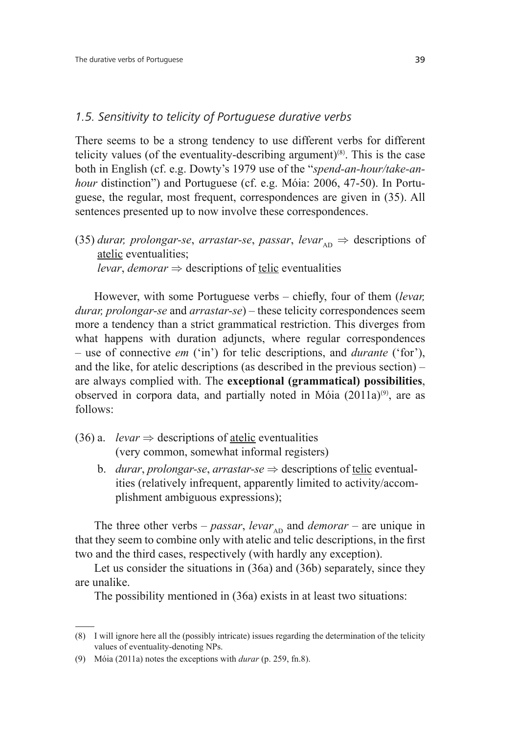### *1.5. Sensitivity to telicity of Portuguese durative verbs*

There seems to be a strong tendency to use different verbs for different telicity values (of the eventuality-describing argument) $(8)$ . This is the case both in English (cf. e.g. Dowty's 1979 use of the "*spend-an-hour/take-anhour* distinction") and Portuguese (cf. e.g. Móia: 2006, 47-50). In Portuguese, the regular, most frequent, correspondences are given in (35). All sentences presented up to now involve these correspondences.

(35) *durar, prolongar-se, arrastar-se, passar,*  $levar_{AD} \Rightarrow$  *descriptions of* atelic eventualities; *levar*, *demorar*  $\Rightarrow$  descriptions of telic eventualities

However, with some Portuguese verbs – chiefly, four of them *(levar, durar, prolongar-se* and *arrastar-se*) – these telicity correspondences seem more a tendency than a strict grammatical restriction. This diverges from what happens with duration adjuncts, where regular correspondences – use of connective *em* ('in') for telic descriptions, and *durante* ('for'), and the like, for atelic descriptions (as described in the previous section) – are always complied with. The **exceptional (grammatical) possibilities**, observed in corpora data, and partially noted in Móia  $(2011a)^{(9)}$ , are as follows:

- (36) a. *levar*  $\Rightarrow$  descriptions of atelic eventualities (very common, somewhat informal registers)
	- b. *durar*, *prolongar-se*, *arrastar-se*  $\Rightarrow$  descriptions of telic eventual ities (relatively infrequent, apparently limited to activity/accom plishment ambiguous expressions);

The three other verbs – *passar*, *levar*<sub>AD</sub> and *demorar* – are unique in that they seem to combine only with atelic and telic descriptions, in the first two and the third cases, respectively (with hardly any exception).

Let us consider the situations in (36a) and (36b) separately, since they are unalike.

The possibility mentioned in (36a) exists in at least two situations:

<sup>(8)</sup> I will ignore here all the (possibly intricate) issues regarding the determination of the telicity values of eventuality-denoting NPs.

<sup>(9)</sup> Móia (2011a) notes the exceptions with *durar* (p. 259, fn.8).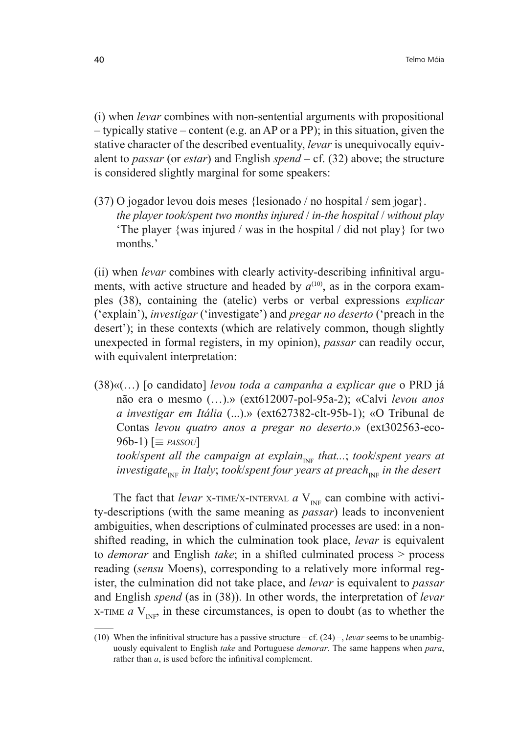(i) when *levar* combines with non-sentential arguments with propositional – typically stative – content (e.g. an AP or a PP); in this situation, given the stative character of the described eventuality, *levar* is unequivocally equivalent to *passar* (or *estar*) and English *spend* – cf. (32) above; the structure is considered slightly marginal for some speakers:

(37) O jogador levou dois meses {lesionado / no hospital / sem jogar}.  *the player took/spent two months injured* / *in-the hospital* / *without play* 'The player {was injured / was in the hospital / did not play} for two months.'

(ii) when *levar* combines with clearly activity-describing infinitival arguments, with active structure and headed by  $a^{(10)}$ , as in the corpora examples (38), containing the (atelic) verbs or verbal expressions *explicar* ('explain'), *investigar* ('investigate') and *pregar no deserto* ('preach in the desert'); in these contexts (which are relatively common, though slightly unexpected in formal registers, in my opinion), *passar* can readily occur, with equivalent interpretation:

(38)«(…) [o candidato] *levou toda a campanha a explicar que* o PRD já não era o mesmo (…).» (ext612007-pol-95a-2); «Calvi *levou anos a investigar em Itália* (...).» (ext627382-clt-95b-1); «O Tribunal de Contas *levou quatro anos a pregar no deserto*.» (ext302563-eco- $96b-1$ )  $\equiv$  *PASSOU took/spent all the campaign at explain<sub>INF</sub> that...; took/spent years at investigate<sub>INF</sub> in Italy*; *took*/*spent four years at preach<sub>INF</sub> <i>in the desert* 

The fact that *levar* X-TIME/X-INTERVAL  $a$  V<sub>INE</sub> can combine with activity-descriptions (with the same meaning as *passar*) leads to inconvenient ambiguities, when descriptions of culminated processes are used: in a nonshifted reading, in which the culmination took place, *levar* is equivalent to *demorar* and English *take*; in a shifted culminated process > process reading (*sensu* Moens), corresponding to a relatively more informal register, the culmination did not take place, and *levar* is equivalent to *passar*  and English *spend* (as in (38)). In other words, the interpretation of *levar*  X-TIME  $a$  V<sub>INF</sub>, in these circumstances, is open to doubt (as to whether the

<sup>(10)</sup> When the infinitival structure has a passive structure – cf.  $(24)$  –, *levar* seems to be unambiguously equivalent to English *take* and Portuguese *demorar*. The same happens when *para*, rather than  $a$ , is used before the infinitival complement.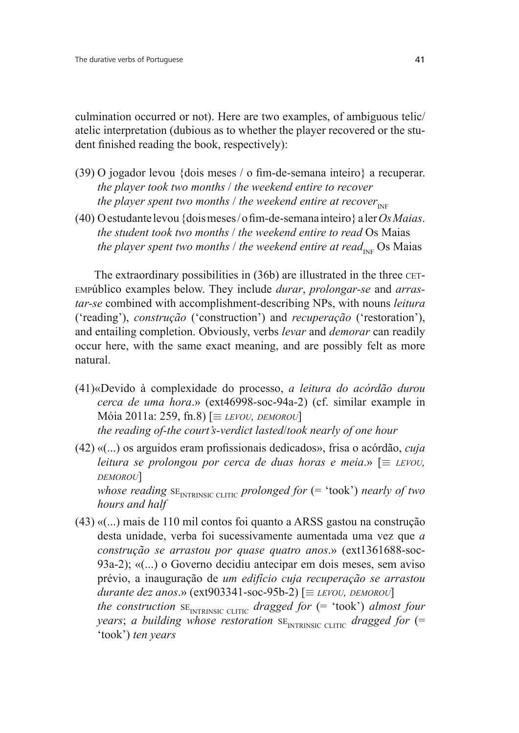culmination occurred or not). Here are two examples, of ambiguous telic/ atelic interpretation (dubious as to whether the player recovered or the student finished reading the book, respectively):

- (39) O jogador levou {dois meses / o fim-de-semana inteiro} a recuperar. *the player took two months* / *the weekend entire to recover the player spent two months / the weekend entire at recover*<sub>INF</sub>
- (40) O estudante levou {dois meses / o fim-de-semana inteiro } a ler Os Maias. *the student took two months* / *the weekend entire to read* Os Maias *the player spent two months / the weekend entire at read<sub>INF</sub> Os Maias*

The extraordinary possibilities in (36b) are illustrated in the three CET-EMPúblico examples below. They include *durar*, *prolongar-se* and *arrastar-se* combined with accomplishment-describing NPs, with nouns *leitura*  ('reading'), *construção* ('construction') and *recuperação* ('restoration'), and entailing completion. Obviously, verbs *levar* and *demorar* can readily occur here, with the same exact meaning, and are possibly felt as more natural.

- (41)«Devido à complexidade do processo, *a leitura do acórdão durou cerca de uma hora*.» (ext46998-soc-94a-2) (cf. similar example in  $Móia 2011a: 259, fn.8$  [ $\equiv$  *LEVOU, DEMOROU*]  *the reading of-the court's-verdict lasted*/*took nearly of one hour*
- (42) «(...) os arguidos eram profissionais dedicados», frisa o acórdão, *cuja leitura se prolongou por cerca de duas horas e meia.*»  $\equiv$  *LEVOU*, *DEMOROU*] *whose reading*  $SE_{\text{INTRINSIC CLITIC}}$  *prolonged for* (= 'took') *nearly of two hours and half*
- (43) «(...) mais de 110 mil contos foi quanto a ARSS gastou na construção desta unidade, verba foi sucessivamente aumentada uma vez que *a construção se arrastou por quase quatro anos*.» (ext1361688-soc-93a-2); «(...) o Governo decidiu antecipar em dois meses, sem aviso prévio, a inauguração de *um edifício cuja recuperação se arrastou*   $durante$  *dez anos*.» (ext903341-soc-95b-2) [ $\equiv$  *LEVOU, DEMOROU*] *the construction*  $SE_{INTRINSIC CLITIC}$  *dragged for* (= 'took') *almost four years*; *a building whose restoration*  $SE_{\text{INTERNSIC CLITIC}}$  *dragged for* (= 'took') *ten years*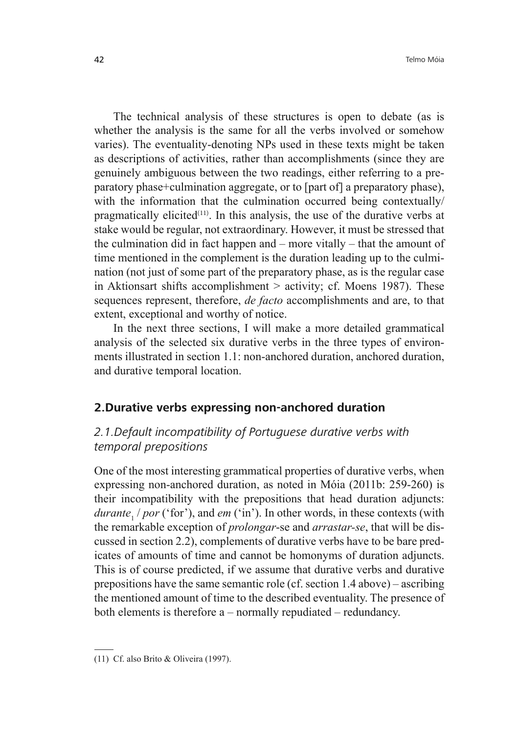The technical analysis of these structures is open to debate (as is whether the analysis is the same for all the verbs involved or somehow varies). The eventuality-denoting NPs used in these texts might be taken as descriptions of activities, rather than accomplishments (since they are genuinely ambiguous between the two readings, either referring to a preparatory phase+culmination aggregate, or to [part of] a preparatory phase), with the information that the culmination occurred being contextually/ pragmatically elicited<sup> $(11)$ </sup>. In this analysis, the use of the durative verbs at stake would be regular, not extraordinary. However, it must be stressed that the culmination did in fact happen and – more vitally – that the amount of time mentioned in the complement is the duration leading up to the culmination (not just of some part of the preparatory phase, as is the regular case in Aktionsart shifts accomplishment  $>$  activity; cf. Moens 1987). These sequences represent, therefore, *de facto* accomplishments and are, to that extent, exceptional and worthy of notice.

In the next three sections, I will make a more detailed grammatical analysis of the selected six durative verbs in the three types of environments illustrated in section 1.1: non-anchored duration, anchored duration, and durative temporal location.

### **2.Durative verbs expressing non-anchored duration**

# *2.1.Default incompatibility of Portuguese durative verbs with temporal prepositions*

One of the most interesting grammatical properties of durative verbs, when expressing non-anchored duration, as noted in Móia (2011b: 259-260) is their incompatibility with the prepositions that head duration adjuncts: durante<sub>1</sub> / por ('for'), and *em* ('in'). In other words, in these contexts (with the remarkable exception of *prolongar*-se and *arrastar-se*, that will be discussed in section 2.2), complements of durative verbs have to be bare predicates of amounts of time and cannot be homonyms of duration adjuncts. This is of course predicted, if we assume that durative verbs and durative prepositions have the same semantic role (cf. section 1.4 above) – ascribing the mentioned amount of time to the described eventuality. The presence of both elements is therefore a – normally repudiated – redundancy.

<sup>(11)</sup> Cf. also Brito & Oliveira (1997).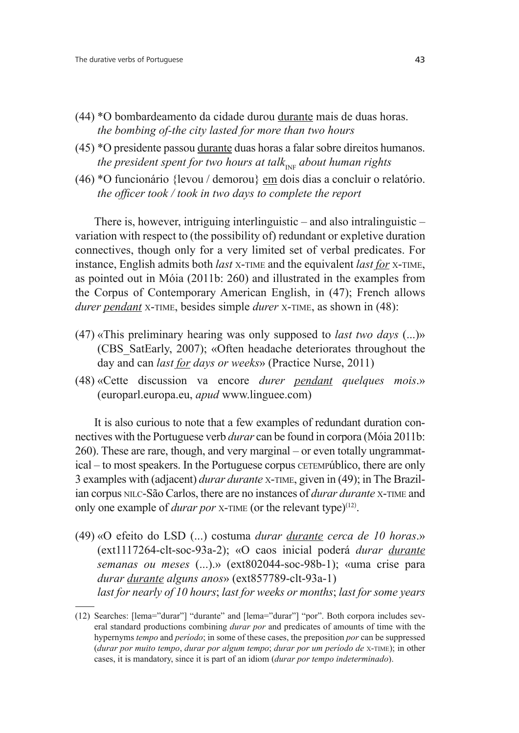- (44) \*O bombardeamento da cidade durou durante mais de duas horas. *the bombing of-the city lasted for more than two hours*
- (45) \*O presidente passou durante duas horas a falar sobre direitos humanos. *the president spent for two hours at talk<sub>INF</sub> about human rights*
- (46) \*O funcionário {levou / demorou} em dois dias a concluir o relatório. *the officer took / took in two days to complete the report*

There is, however, intriguing interlinguistic – and also intralinguistic – variation with respect to (the possibility of) redundant or expletive duration connectives, though only for a very limited set of verbal predicates. For instance, English admits both *last* <sup>X</sup>-TIME and the equivalent *last for* <sup>X</sup>-TIME, as pointed out in Móia (2011b: 260) and illustrated in the examples from the Corpus of Contemporary American English, in (47); French allows *durer pendant* X-TIME, besides simple *durer* X-TIME, as shown in (48):

- (47) «This preliminary hearing was only supposed to *last two days* (...)» (CBS\_SatEarly, 2007); «Often headache deteriorates throughout the day and can *last for days or weeks*» (Practice Nurse, 2011)
- (48) «Cette discussion va encore *durer pendant quelques mois*.» (europarl.europa.eu, *apud* www.linguee.com)

It is also curious to note that a few examples of redundant duration connectives with the Portuguese verb *durar* can be found in corpora (Móia 2011b: 260). These are rare, though, and very marginal – or even totally ungrammatical – to most speakers. In the Portuguese corpus CETEMPúblico, there are only 3 examples with (adjacent) *durar durante* X-TIME, given in (49); in The Brazilian corpus NILC-São Carlos, there are no instances of *durar durante* X-TIME and only one example of *durar por X*-TIME (or the relevant type)<sup>(12)</sup>.

(49) «O efeito do LSD (...) costuma *durar durante cerca de 10 horas*.» (ext1117264-clt-soc-93a-2); «O caos inicial poderá *durar durante semanas ou meses* (...).» (ext802044-soc-98b-1); «uma crise para *durar durante alguns anos*» (ext857789-clt-93a-1) *last for nearly of 10 hours; last for weeks or months; last for some years* 

<sup>(12)</sup> Searches: [lema="durar"] "durante" and [lema="durar"] "por". Both corpora includes several standard productions combining *durar por* and predicates of amounts of time with the hypernyms *tempo* and *período*; in some of these cases, the preposition *por* can be suppressed (*durar por muito tempo*, *durar por algum tempo*; *durar por um período de* <sup>X</sup>-TIME); in other cases, it is mandatory, since it is part of an idiom (*durar por tempo indeterminado*).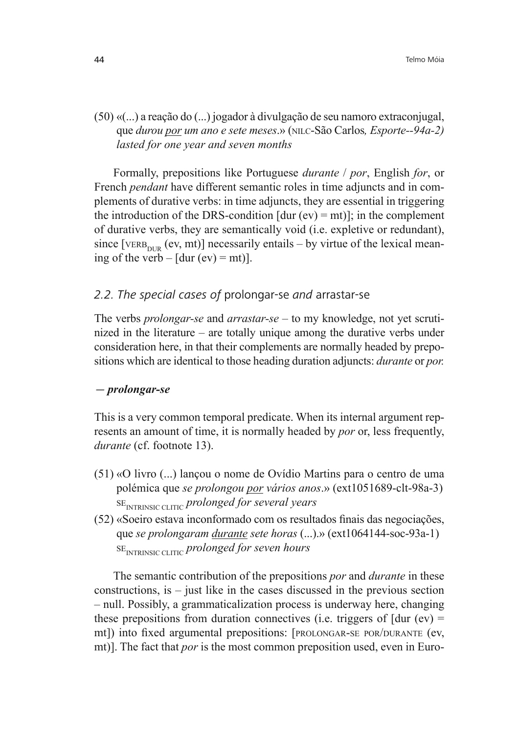(50) «(...) a reação do (...) jogador à divulgação de seu namoro extraconjugal, que *durou por um ano e sete meses*.» (NILC-São Carlos*, Esporte--94a-2) lasted for one year and seven months*

Formally, prepositions like Portuguese *durante* / *por*, English *for*, or French *pendant* have different semantic roles in time adjuncts and in complements of durative verbs: in time adjuncts, they are essential in triggering the introduction of the DRS-condition  $[dur (ev) = mt)]$ ; in the complement of durative verbs, they are semantically void (i.e. expletive or redundant), since [VERB<sub>NUR</sub> (ev, mt)] necessarily entails – by virtue of the lexical meaning of the verb –  $[dur (ev) = mt)].$ 

# *2.2. The special cases of* prolongar-se *and* arrastar-se

The verbs *prolongar-se* and *arrastar-se* – to my knowledge, not yet scrutinized in the literature – are totally unique among the durative verbs under consideration here, in that their complements are normally headed by prepositions which are identical to those heading duration adjuncts: *durante* or *por.* 

### *prolongar-se*

This is a very common temporal predicate. When its internal argument represents an amount of time, it is normally headed by *por* or, less frequently, *durante* (cf. footnote 13).

- (51) «O livro (...) lançou o nome de Ovídio Martins para o centro de uma polémica que *se prolongou por vários anos*.» (ext1051689-clt-98a-3) SEINTRINSIC CLITIC *prolonged for several years*
- $(52)$  «Soeiro estava inconformado com os resultados finais das negociações. que *se prolongaram durante sete horas* (...).» (ext1064144-soc-93a-1) SEINTRINSIC CLITIC *prolonged for seven hours*

The semantic contribution of the prepositions *por* and *durante* in these constructions, is – just like in the cases discussed in the previous section – null. Possibly, a grammaticalization process is underway here, changing these prepositions from duration connectives (i.e. triggers of  $[dur (ev) =$ mt]) into fixed argumental prepositions: [PROLONGAR-SE POR/DURANTE (ev, mt)]. The fact that *por* is the most common preposition used, even in Euro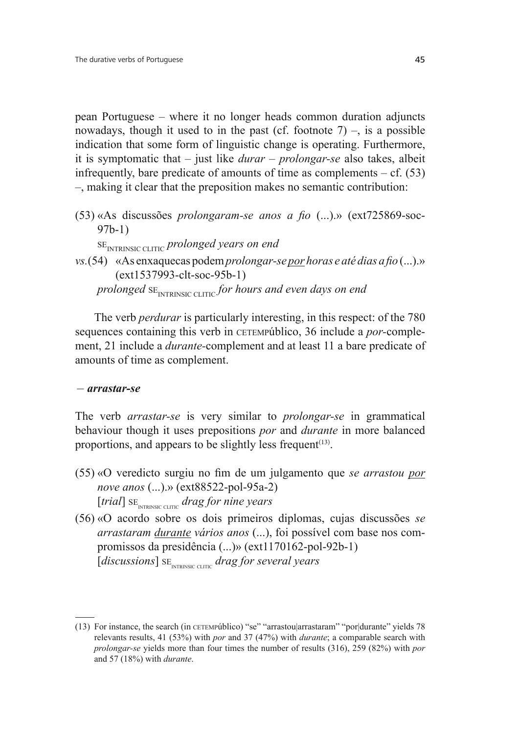pean Portuguese – where it no longer heads common duration adjuncts nowadays, though it used to in the past (cf. footnote  $7$ ) –, is a possible indication that some form of linguistic change is operating. Furthermore, it is symptomatic that – just like *durar* – *prolongar-se* also takes, albeit infrequently, bare predicate of amounts of time as complements  $- cf. (53)$ –, making it clear that the preposition makes no semantic contribution:

(53) «As discussões *prolongaram-se anos a fio* (...).» (ext725869-soc-97b-1)

SE<sub>INTRINSIC CLITIC</sub> prolonged years on end

*vs.*(54) «As enxaquecas podem *prolongar-se por horas e até dias a fio* (...).» (ext1537993-clt-soc-95b-1) *prolonged* SE<sub>INTRINSIC CLITIC for hours and even days on end</sub>

The verb *perdurar* is particularly interesting, in this respect: of the 780 sequences containing this verb in CETEMPúblico, 36 include a *por-*complement, 21 include a *durante-*complement and at least 11 a bare predicate of amounts of time as complement.

#### *arrastar-se*

The verb *arrastar-se* is very similar to *prolongar-se* in grammatical behaviour though it uses prepositions *por* and *durante* in more balanced proportions, and appears to be slightly less frequent<sup>(13)</sup>.

- (55) «O veredicto surgiu no fim de um julgamento que se arrastou por *nove anos* (...).» (ext88522-pol-95a-2) [*trial*] SE INTRINSIC CLITIC  *drag for nine years*
- (56) «O acordo sobre os dois primeiros diplomas, cujas discussões *se arrastaram durante vários anos* (...), foi possível com base nos compromissos da presidência (...)» (ext1170162-pol-92b-1) [*discussions*] SE INTRINSIC CLITIC  *drag for several years*

<sup>(13)</sup> For instance, the search (in CETEMPúblico) "se" "arrastou|arrastaram" "por|durante" yields 78 relevants results, 41 (53%) with *por* and 37 (47%) with *durante*; a comparable search with *prolongar-se* yields more than four times the number of results (316), 259 (82%) with *por*  and 57 (18%) with *durante*.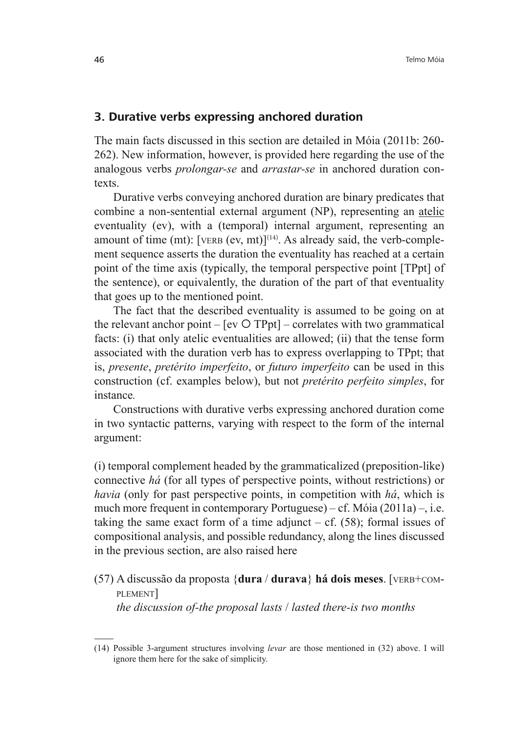# **3. Durative verbs expressing anchored duration**

The main facts discussed in this section are detailed in Móia (2011b: 260- 262). New information, however, is provided here regarding the use of the analogous verbs *prolongar-se* and *arrastar-se* in anchored duration contexts.

Durative verbs conveying anchored duration are binary predicates that combine a non-sentential external argument (NP), representing an atelic eventuality (ev), with a (temporal) internal argument, representing an amount of time (mt): [VERB (ev, mt)]<sup>(14)</sup>. As already said, the verb-complement sequence asserts the duration the eventuality has reached at a certain point of the time axis (typically, the temporal perspective point [TPpt] of the sentence), or equivalently, the duration of the part of that eventuality that goes up to the mentioned point.

The fact that the described eventuality is assumed to be going on at the relevant anchor point  $-$  [ev  $O$  TPpt] – correlates with two grammatical facts: (i) that only atelic eventualities are allowed; (ii) that the tense form associated with the duration verb has to express overlapping to TPpt; that is, *presente*, *pretérito imperfeito*, or *futuro imperfeito* can be used in this construction (cf. examples below), but not *pretérito perfeito simples*, for instance*.*

Constructions with durative verbs expressing anchored duration come in two syntactic patterns, varying with respect to the form of the internal argument:

(i) temporal complement headed by the grammaticalized (preposition-like) connective *há* (for all types of perspective points, without restrictions) or *havia* (only for past perspective points, in competition with *há*, which is much more frequent in contemporary Portuguese) – cf. Móia (2011a) –, i.e. taking the same exact form of a time adjunct – cf.  $(58)$ ; formal issues of compositional analysis, and possible redundancy, along the lines discussed in the previous section, are also raised here

(57) A discussão da proposta {**dura** / **durava**} **há dois meses**. [VERB+COM-PLEMENT]  *the discussion of-the proposal lasts* / *lasted there-is two months*

<sup>(14)</sup> Possible 3-argument structures involving *levar* are those mentioned in (32) above. I will ignore them here for the sake of simplicity.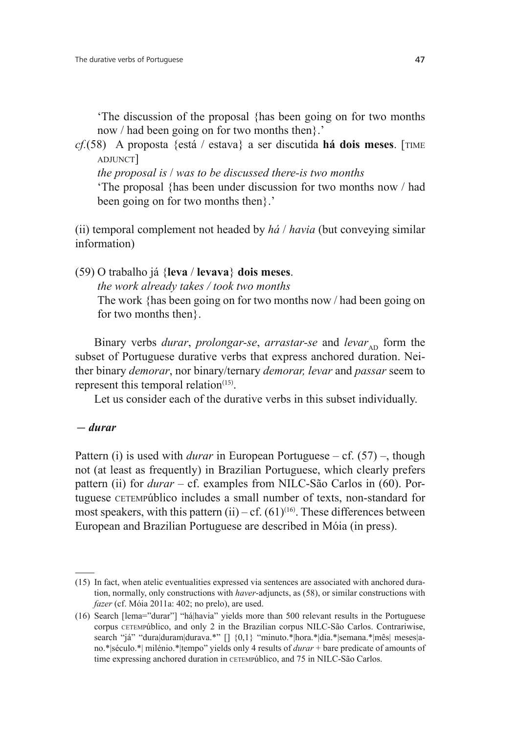'The discussion of the proposal {has been going on for two months now / had been going on for two months then}.'

*cf.*(58) A proposta {está / estava} a ser discutida **há dois meses**. [TIME ADJUNCT]

 *the proposal is* / *was to be discussed there-is two months*

 'The proposal {has been under discussion for two months now / had been going on for two months then}.'

(ii) temporal complement not headed by *há* / *havia* (but conveying similar information)

(59) O trabalho já {**leva** / **levava**} **dois meses**.

 *the work already takes / took two months*

 The work {has been going on for two months now / had been going on for two months then}.

Binary verbs *durar*, *prolongar-se*, *arrastar-se* and *levar*<sub>AD</sub> form the subset of Portuguese durative verbs that express anchored duration. Neither binary *demorar*, nor binary/ternary *demorar, levar* and *passar* seem to represent this temporal relation $(15)$ .

Let us consider each of the durative verbs in this subset individually.

 *durar*

Pattern (i) is used with *durar* in European Portuguese – cf. (57) –, though not (at least as frequently) in Brazilian Portuguese, which clearly prefers pattern (ii) for *durar* – cf. examples from NILC-São Carlos in (60). Portuguese CETEMPúblico includes a small number of texts, non-standard for most speakers, with this pattern (ii) – cf.  $(61)^{(16)}$ . These differences between European and Brazilian Portuguese are described in Móia (in press).

<sup>(15)</sup> In fact, when atelic eventualities expressed via sentences are associated with anchored duration, normally, only constructions with *haver*-adjuncts, as (58), or similar constructions with *fazer* (cf. Móia 2011a: 402; no prelo), are used.

<sup>(16)</sup> Search [lema="durar"] "há|havia" yields more than 500 relevant results in the Portuguese corpus CETEMPúblico, and only 2 in the Brazilian corpus NILC-São Carlos. Contrariwise, search "já" "dura|duram|durava.\*" [] {0,1} "minuto.\*|hora.\*|dia.\*|semana.\*|mês| meses|ano.\*|século.\*| milénio.\*|tempo" yields only 4 results of *durar* + bare predicate of amounts of time expressing anchored duration in CETEMPúblico, and 75 in NILC-São Carlos.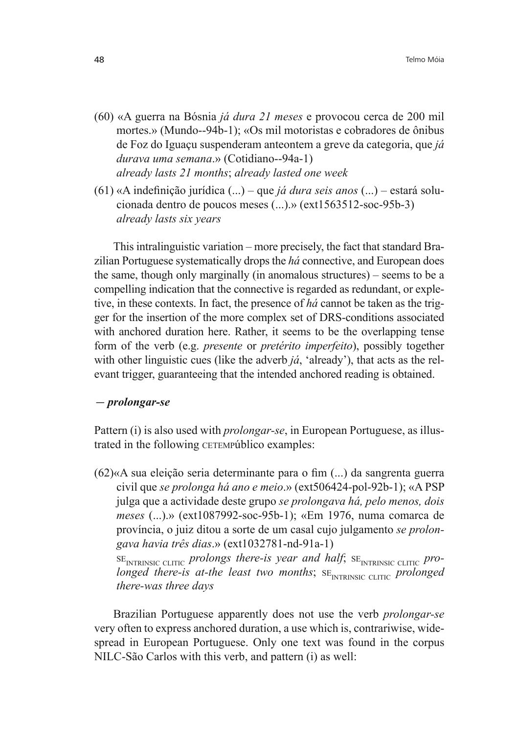- (60) «A guerra na Bósnia *já dura 21 meses* e provocou cerca de 200 mil mortes.» (Mundo--94b-1); «Os mil motoristas e cobradores de ônibus de Foz do Iguaçu suspenderam anteontem a greve da categoria, que *já durava uma semana*.» (Cotidiano--94a-1)  *already lasts 21 months*; *already lasted one week*
- $(61)$  «A indefinição jurídica  $(...)$  que *já dura seis anos*  $(...)$  estará solucionada dentro de poucos meses (...).» (ext1563512-soc-95b-3)  *already lasts six years*

This intralinguistic variation – more precisely, the fact that standard Brazilian Portuguese systematically drops the *há* connective, and European does the same, though only marginally (in anomalous structures) – seems to be a compelling indication that the connective is regarded as redundant, or expletive, in these contexts. In fact, the presence of *há* cannot be taken as the trigger for the insertion of the more complex set of DRS-conditions associated with anchored duration here. Rather, it seems to be the overlapping tense form of the verb (e.g. *presente* or *pretérito imperfeito*), possibly together with other linguistic cues (like the adverb *já*, 'already'), that acts as the relevant trigger, guaranteeing that the intended anchored reading is obtained.

#### *prolongar-se*

Pattern (i) is also used with *prolongar-se*, in European Portuguese, as illustrated in the following CETEMPúblico examples:

 $(62)$ «A sua eleição seria determinante para o fim  $(...)$  da sangrenta guerra civil que *se prolonga há ano e meio*.» (ext506424-pol-92b-1); «A PSP julga que a actividade deste grupo *se prolongava há, pelo menos, dois meses* (...).» (ext1087992-soc-95b-1); «Em 1976, numa comarca de província, o juiz ditou a sorte de um casal cujo julgamento *se prolongava havia três dias*.» (ext1032781-nd-91a-1)

SE<sub>INTRINSIC CLITIC</sub> prolongs there-is year and half; SE<sub>INTRINSIC CLITIC</sub> pro*longed there-is at-the least two months*; SE<sub>INTRINSIC CLITIC *prolonged*</sub> *there-was three days*

Brazilian Portuguese apparently does not use the verb *prolongar-se*  very often to express anchored duration, a use which is, contrariwise, widespread in European Portuguese. Only one text was found in the corpus NILC-São Carlos with this verb, and pattern (i) as well: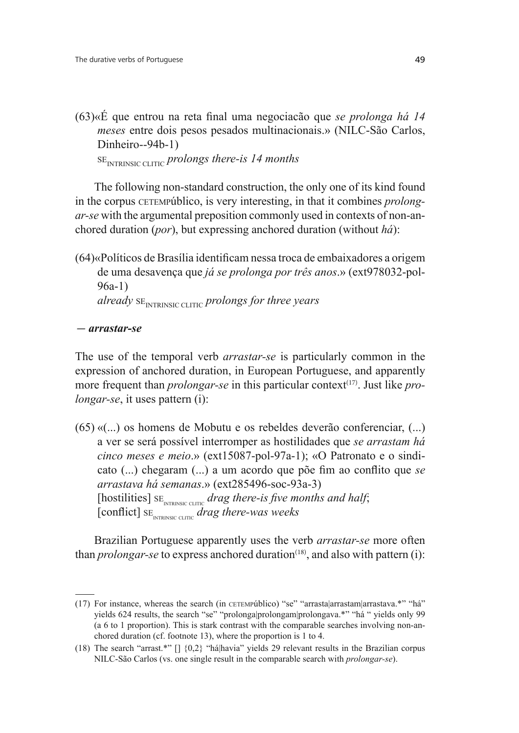$(63)$ «É que entrou na reta final uma negociação que se prolonga há 14 *meses* entre dois pesos pesados multinacionais.» (NILC-São Carlos, Dinheiro--94b-1)

SE<sub>INTRINSIC CLITIC</sub> prolongs there-is 14 months

The following non-standard construction, the only one of its kind found in the corpus CETEMPúblico, is very interesting, in that it combines *prolongar-se* with the argumental preposition commonly used in contexts of non-anchored duration (*por*), but expressing anchored duration (without *há*):

 $(64)$ «Políticos de Brasília identificam nessa troca de embaixadores a origem de uma desavença que *já se prolonga por três anos*.» (ext978032-pol-96a-1) *already*  $SE$ <sub>INTRINSIC CLITIC *prolongs for three years*</sub>

 *arrastar-se*

The use of the temporal verb *arrastar-se* is particularly common in the expression of anchored duration, in European Portuguese, and apparently more frequent than *prolongar-se* in this particular context<sup>(17)</sup>. Just like *prolongar-se*, it uses pattern (i):

(65) «(...) os homens de Mobutu e os rebeldes deverão conferenciar, (...) a ver se será possível interromper as hostilidades que *se arrastam há cinco meses e meio*.» (ext15087-pol-97a-1); «O Patronato e o sindicato (...) chegaram (...) a um acordo que põe fim ao conflito que se *arrastava há semanas*.» (ext285496-soc-93a-3) [hostilities] SE<sub>INTRINSIC CLITIC</sub> drag there-is five months and half,  $[$  conflict]  $s_{E_{\text{INTRINSIC CLTIC}}}$  *drag there-was weeks* 

Brazilian Portuguese apparently uses the verb *arrastar-se* more often than *prolongar-se* to express anchored duration<sup> $(18)$ </sup>, and also with pattern (i):

<sup>(17)</sup> For instance, whereas the search (in CETEMPúblico) "se" "arrasta|arrastam|arrastava.\*" "há" yields 624 results, the search "se" "prolonga|prolongam|prolongava.\*" "há " yields only 99 (a 6 to 1 proportion). This is stark contrast with the comparable searches involving non-anchored duration (cf. footnote 13), where the proportion is 1 to 4.

<sup>(18)</sup> The search "arrast.\*" [] {0,2} "há|havia" yields 29 relevant results in the Brazilian corpus NILC-São Carlos (vs. one single result in the comparable search with *prolongar-se*).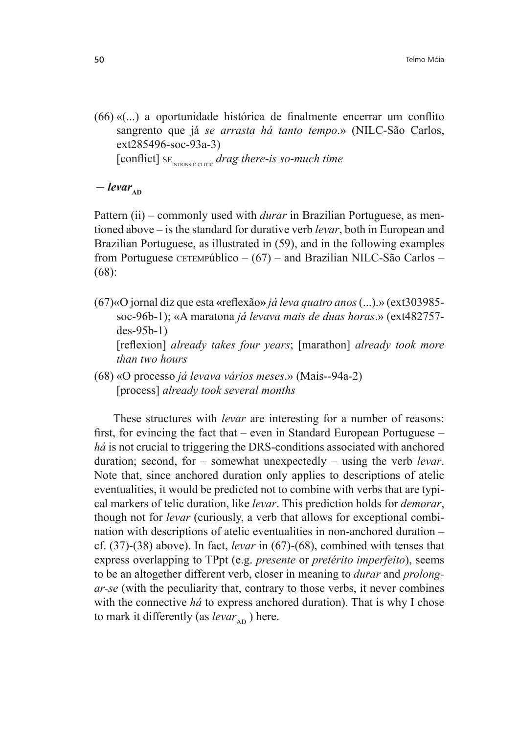$(66)$  « $($ ...) a oportunidade histórica de finalmente encerrar um conflito sangrento que já *se arrasta há tanto tempo*.» (NILC-São Carlos, ext285496-soc-93a-3) [conflict] SE<sub>INTRINSIC CLITIC</sub> drag there-is so-much time

 $-\text{levar}_{\text{AD}}$ 

Pattern (ii) – commonly used with *durar* in Brazilian Portuguese, as mentioned above – is the standard for durative verb *levar*, both in European and Brazilian Portuguese, as illustrated in (59), and in the following examples from Portuguese CETEMPúblico  $- (67)$  – and Brazilian NILC-São Carlos – (68):

- (67)«O jornal diz que esta «reflexão» *já leva quatro anos* (...).» (ext303985soc-96b-1); «A maratona *já levava mais de duas horas*.» (ext482757 des-95b-1) [reflexion] *already takes four years*; [marathon] *already took more than two hours*
- (68) «O processo *já levava vários meses*.» (Mais--94a-2) [process] *already took several months*

These structures with *levar* are interesting for a number of reasons: first, for evincing the fact that  $-$  even in Standard European Portuguese  $$ *há* is not crucial to triggering the DRS-conditions associated with anchored duration; second, for – somewhat unexpectedly – using the verb *levar*. Note that, since anchored duration only applies to descriptions of atelic eventualities, it would be predicted not to combine with verbs that are typical markers of telic duration, like *levar*. This prediction holds for *demorar*, though not for *levar* (curiously, a verb that allows for exceptional combination with descriptions of atelic eventualities in non-anchored duration – cf. (37)-(38) above). In fact, *levar* in (67)-(68), combined with tenses that express overlapping to TPpt (e.g. *presente* or *pretérito imperfeito*), seems to be an altogether different verb, closer in meaning to *durar* and *prolongar-se* (with the peculiarity that, contrary to those verbs, it never combines with the connective *há* to express anchored duration). That is why I chose to mark it differently (as  $levar_{\text{AD}}$ ) here.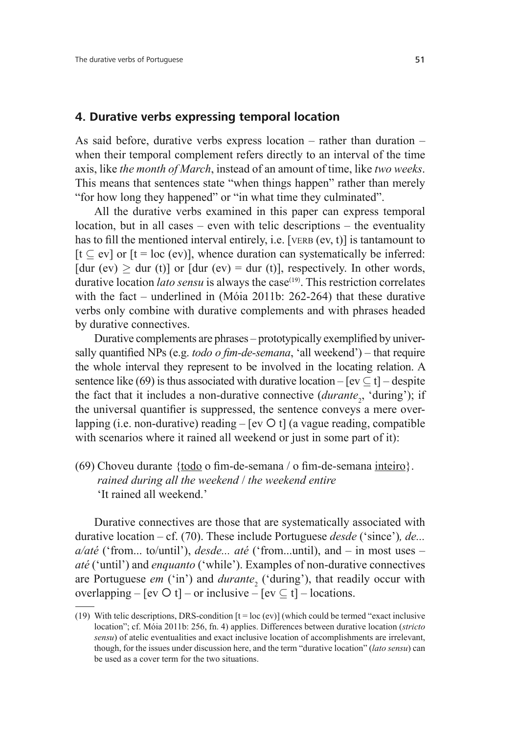#### **4. Durative verbs expressing temporal location**

As said before, durative verbs express location – rather than duration – when their temporal complement refers directly to an interval of the time axis, like *the month of March*, instead of an amount of time, like *two weeks*. This means that sentences state "when things happen" rather than merely "for how long they happened" or "in what time they culminated".

All the durative verbs examined in this paper can express temporal location, but in all cases – even with telic descriptions – the eventuality has to fill the mentioned interval entirely, i.e. [VERB (ev, t)] is tantamount to  $[t \subset \text{ev}]$  or  $[t = \text{loc } (\text{ev})]$ , whence duration can systematically be inferred: [dur (ev)  $>$  dur (t)] or [dur (ev) = dur (t)], respectively. In other words, durative location *lato sensu* is always the case<sup>(19)</sup>. This restriction correlates with the fact – underlined in (Móia 2011b: 262-264) that these durative verbs only combine with durative complements and with phrases headed by durative connectives.

Durative complements are phrases – prototypically exemplified by universally quantified NPs (e.g. *todo o fim-de-semana*, 'all weekend') – that require the whole interval they represent to be involved in the locating relation. A sentence like (69) is thus associated with durative location –  $[ev \subseteq t]$  – despite the fact that it includes a non-durative connective (*durante<sub>2</sub>*, 'during'); if the universal quantifier is suppressed, the sentence conveys a mere overlapping (i.e. non-durative) reading  $-$  [ev  $\circ$  t] (a vague reading, compatible with scenarios where it rained all weekend or just in some part of it):

(69) Choveu durante  $\{\underline{todo}$  o fim-de-semana / o fim-de-semana inteiro $\}$ .  *rained during all the weekend* / *the weekend entire* 'It rained all weekend.'

Durative connectives are those that are systematically associated with durative location – cf. (70). These include Portuguese *desde* ('since')*, de... a/até* ('from... to/until'), *desde... até* ('from...until), and – in most uses – *até* ('until') and *enquanto* ('while'). Examples of non-durative connectives are Portuguese *em* ('in') and *durante*<sub>2</sub> ('during'), that readily occur with overlapping – [ev  $\circ$  t] – or inclusive – [ev  $\subseteq$  t] – locations.

<sup>(19)</sup> With telic descriptions, DRS-condition  $[t = loc (ev)]$  (which could be termed "exact inclusive") location"; cf. Móia 2011b: 256, fn. 4) applies. Differences between durative location (*stricto sensu*) of atelic eventualities and exact inclusive location of accomplishments are irrelevant, though, for the issues under discussion here, and the term "durative location" (*lato sensu*) can be used as a cover term for the two situations.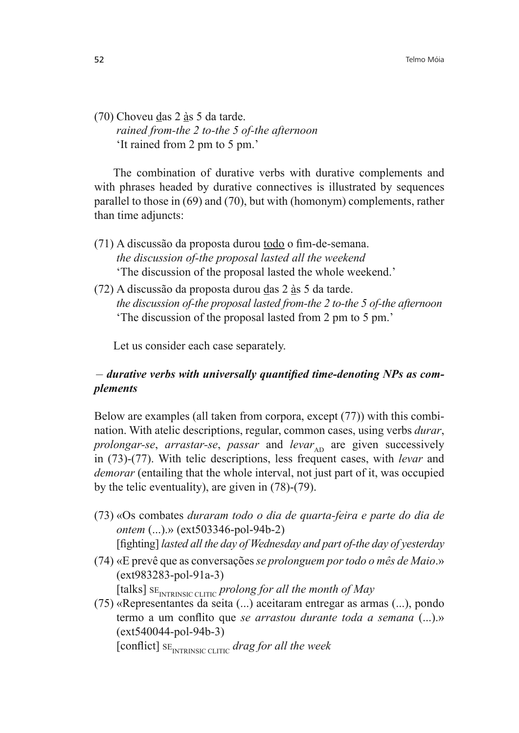(70) Choveu das 2 às 5 da tarde.  *rained from-the 2 to-the 5 of-the afternoon* 'It rained from 2 pm to 5 pm.'

The combination of durative verbs with durative complements and with phrases headed by durative connectives is illustrated by sequences parallel to those in (69) and (70), but with (homonym) complements, rather than time adjuncts:

- $(71)$  A discussão da proposta durou todo o fim-de-semana.  *the discussion of-the proposal lasted all the weekend* 'The discussion of the proposal lasted the whole weekend.'
- (72) A discussão da proposta durou das 2 às 5 da tarde.  *the discussion of-the proposal lasted from-the 2 to-the 5 of-the afternoon* 'The discussion of the proposal lasted from 2 pm to 5 pm.'

Let us consider each case separately.

# *Graubision Lurative verbs with universally quantified time-denoting NPs as complements*

Below are examples (all taken from corpora, except (77)) with this combination. With atelic descriptions, regular, common cases, using verbs *durar*, *prolongar-se*, *arrastar-se*, *passar* and *levar*<sub>AD</sub> are given successively in (73)-(77). With telic descriptions, less frequent cases, with *levar* and *demorar* (entailing that the whole interval, not just part of it, was occupied by the telic eventuality), are given in (78)-(79).

- (73) «Os combates *duraram todo o dia de quarta-feira e parte do dia de ontem* (...).» (ext503346-pol-94b-2) [fighting] *lasted all the day of Wednesday and part of-the day of yesterday*
- (74) «E prevê que as conversações *se prolonguem por todo o mês de Maio*.» (ext983283-pol-91a-3)

[talks] SE<sub>INTRINSIC CLITIC</sub> prolong for all the month of May

(75) «Representantes da seita (...) aceitaram entregar as armas (...), pondo termo a um conflito que se arrastou durante toda a semana (...).» (ext540044-pol-94b-3)

[conflict]  $SE<sub>INTRINSIC CLITIC</sub>$  drag for all the week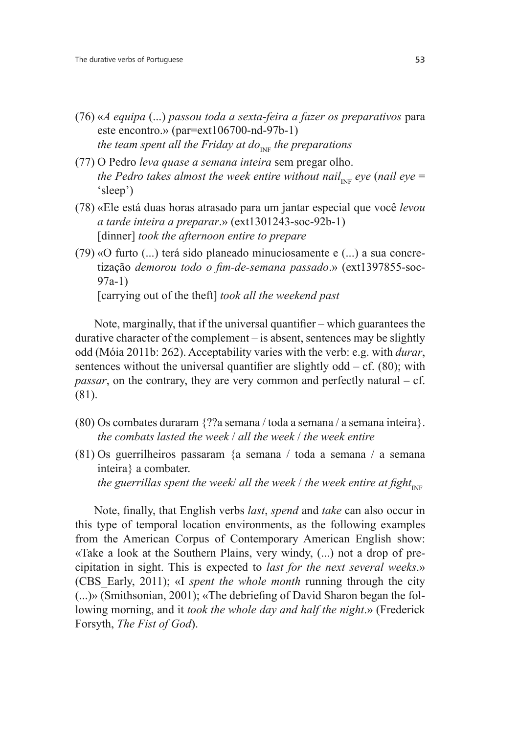- (76) «*A equipa* (...) *passou toda a sexta-feira a fazer os preparativos* para este encontro.» (par=ext106700-nd-97b-1) *the team spent all the Friday at do*<sub>INF</sub> *the preparations*
- (77) O Pedro *leva quase a semana inteira* sem pregar olho. *the Pedro takes almost the week entire without nail<sub>INF</sub> eye (nail eye* = 'sleep')
- (78) «Ele está duas horas atrasado para um jantar especial que você *levou a tarde inteira a preparar*.» (ext1301243-soc-92b-1) [dinner] *took the afternoon entire to prepare*
- (79) «O furto (...) terá sido planeado minuciosamente e (...) a sua concretização *demorou todo o fim-de-semana passado*.» (ext1397855-soc-97a-1) [carrying out of the theft] *took all the weekend past*

Note, marginally, that if the universal quantifier  $-$  which guarantees the durative character of the complement – is absent, sentences may be slightly odd (Móia 2011b: 262). Acceptability varies with the verb: e.g. with *durar*, sentences without the universal quantifier are slightly odd  $- cf. (80)$ ; with *passar*, on the contrary, they are very common and perfectly natural – cf. (81).

- (80) Os combates duraram {??a semana / toda a semana / a semana inteira}.  *the combats lasted the week* / *all the week* / *the week entire*
- (81) Os guerrilheiros passaram {a semana / toda a semana / a semana inteira} a combater. *the guerrillas spent the week/ all the week / the week entire at fight*<sub>INF</sub>

Note, finally, that English verbs *last*, *spend* and *take* can also occur in this type of temporal location environments, as the following examples from the American Corpus of Contemporary American English show: «Take a look at the Southern Plains, very windy, (...) not a drop of precipitation in sight. This is expected to *last for the next several weeks*.» (CBS\_Early, 2011); «I *spent the whole month* running through the city  $(\ldots)$ » (Smithsonian, 2001); «The debriefing of David Sharon began the following morning, and it *took the whole day and half the night*.» (Frederick Forsyth, *The Fist of God*).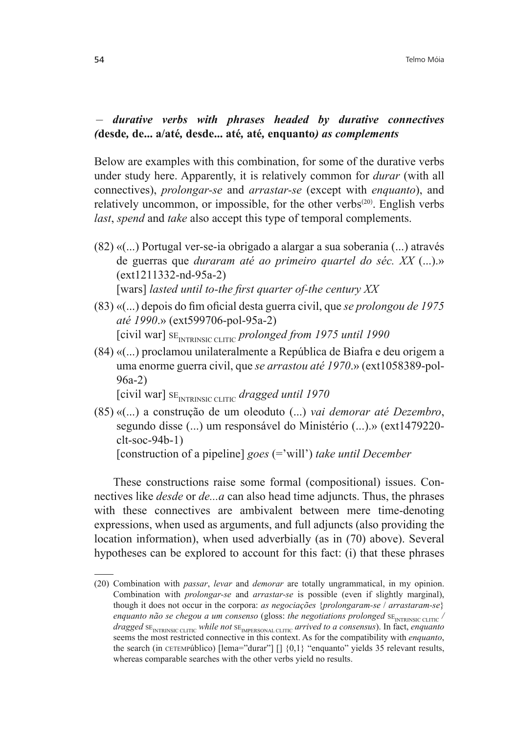*Gurative verbs with phrases headed by durative connectives (***desde, de...** a/até, desde... até, até, enquanto*)* as complements

Below are examples with this combination, for some of the durative verbs under study here. Apparently, it is relatively common for *durar* (with all connectives), *prolongar-se* and *arrastar-se* (except with *enquanto*), and relatively uncommon, or impossible, for the other verbs $(20)$ . English verbs *last*, *spend* and *take* also accept this type of temporal complements.

- (82) «(...) Portugal ver-se-ia obrigado a alargar a sua soberania (...) através de guerras que *duraram até ao primeiro quartel do séc. XX* (...).» (ext1211332-nd-95a-2) [wars] *lasted until to-the first quarter of-the century XX*
- (83) «(...) depois do fim oficial desta guerra civil, que se prolongou de 1975 *até 1990.»* (ext599706-pol-95a-2) [civil war] SE<sub>INTRINSIC CLITIC</sub> prolonged from 1975 until 1990
- (84) «(...) proclamou unilateralmente a República de Biafra e deu origem a uma enorme guerra civil, que *se arrastou até 1970*.» (ext1058389-pol-96a-2)

```
[civil war] SE<sub>INTRINSIC CLITIC dragged until 1970</sub>
```
(85) «(...) a construção de um oleoduto (...) *vai demorar até Dezembro*, segundo disse (...) um responsável do Ministério (...).» (ext1479220 clt-soc-94b-1)

[construction of a pipeline] *goes* (='will') *take until December*

These constructions raise some formal (compositional) issues. Connectives like *desde* or *de...a* can also head time adjuncts. Thus, the phrases with these connectives are ambivalent between mere time-denoting expressions, when used as arguments, and full adjuncts (also providing the location information), when used adverbially (as in (70) above). Several hypotheses can be explored to account for this fact: (i) that these phrases

<sup>(20)</sup> Combination with *passar*, *levar* and *demorar* are totally ungrammatical, in my opinion. Combination with *prolongar-se* and *arrastar-se* is possible (even if slightly marginal), though it does not occur in the corpora: *as negociações* {*prolongaram-se* / *arrastaram-se*} *enquanto não se chegou a um consenso* (gloss: *the negotiations prolonged* SE<sub>INTRINSIC CLITIC</sub> / *dragged* SE<sub>INTRINSIC CLITIC *while not* SE<sub>IMPERSONAL CLITIC *arrived to a consensus*). In fact, *enquanto*</sub></sub> seems the most restricted connective in this context. As for the compatibility with *enquanto*, the search (in CETEMPúblico) [lema="durar"] [] {0,1} "enquanto" yields 35 relevant results, whereas comparable searches with the other verbs yield no results.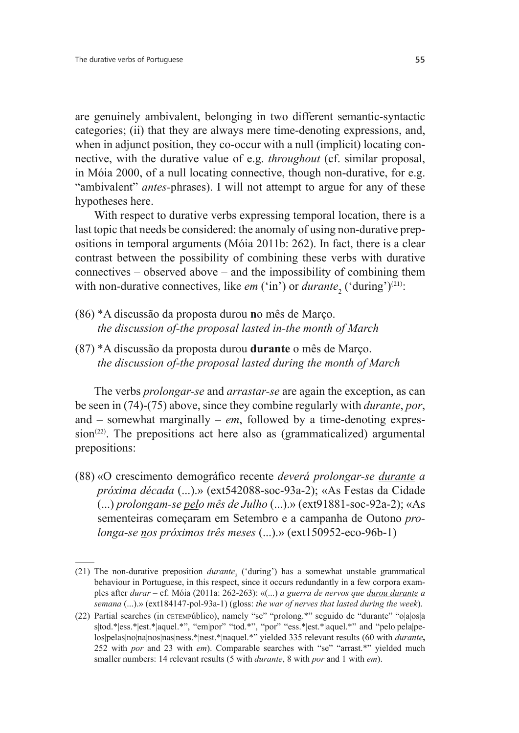are genuinely ambivalent, belonging in two different semantic-syntactic categories; (ii) that they are always mere time-denoting expressions, and, when in adjunct position, they co-occur with a null (implicit) locating connective, with the durative value of e.g. *throughout* (cf. similar proposal, in Móia 2000, of a null locating connective, though non-durative, for e.g. "ambivalent" *antes-*phrases). I will not attempt to argue for any of these hypotheses here.

With respect to durative verbs expressing temporal location, there is a last topic that needs be considered: the anomaly of using non-durative prepositions in temporal arguments (Móia 2011b: 262). In fact, there is a clear contrast between the possibility of combining these verbs with durative connectives – observed above – and the impossibility of combining them with non-durative connectives, like *em* ('in') or *durante*<sub>2</sub> ('during')<sup>(21)</sup>:

- (86) \*A discussão da proposta durou **n**o mês de Março.  *the discussion of-the proposal lasted in-the month of March*
- (87) \*A discussão da proposta durou **durante** o mês de Março.  *the discussion of-the proposal lasted during the month of March*

The verbs *prolongar-se* and *arrastar-se* are again the exception, as can be seen in (74)-(75) above, since they combine regularly with *durante*, *por*, and – somewhat marginally – *em*, followed by a time-denoting expres $sion<sup>(22)</sup>$ . The prepositions act here also as (grammaticalized) argumental prepositions:

(88) «O crescimento demográfico recente *deverá prolongar-se durante a próxima década* (...).» (ext542088-soc-93a-2); «As Festas da Cidade (...) *prolongam-se pelo mês de Julho* (...).» (ext91881-soc-92a-2); «As sementeiras começaram em Setembro e a campanha de Outono *prolonga-se nos próximos três meses* (...).» (ext150952-eco-96b-1)

<sup>(21)</sup> The non-durative preposition  $\text{duration}$  ('during') has a somewhat unstable grammatical behaviour in Portuguese, in this respect, since it occurs redundantly in a few corpora examples after *durar* – cf. Móia (2011a: 262-263): «(...) *a guerra de nervos que durou durante a semana* (...).» (ext184147-pol-93a-1) (gloss: *the war of nerves that lasted during the week*).

<sup>(22)</sup> Partial searches (in CETEMPúblico), namely "se" "prolong.\*" seguido de "durante" "o|a|os|a s|tod.\*|ess.\*|est.\*|aquel.\*", "em|por" "tod.\*", "por" "ess.\*|est.\*|aquel.\*" and "pelo|pela|pelos|pelas|no|na|nos|nas|ness.\*|nest.\*|naquel.\*" yielded 335 relevant results (60 with *durante*, 252 with *por* and 23 with *em*). Comparable searches with "se" "arrast.\*" yielded much smaller numbers: 14 relevant results (5 with *durante*, 8 with *por* and 1 with *em*).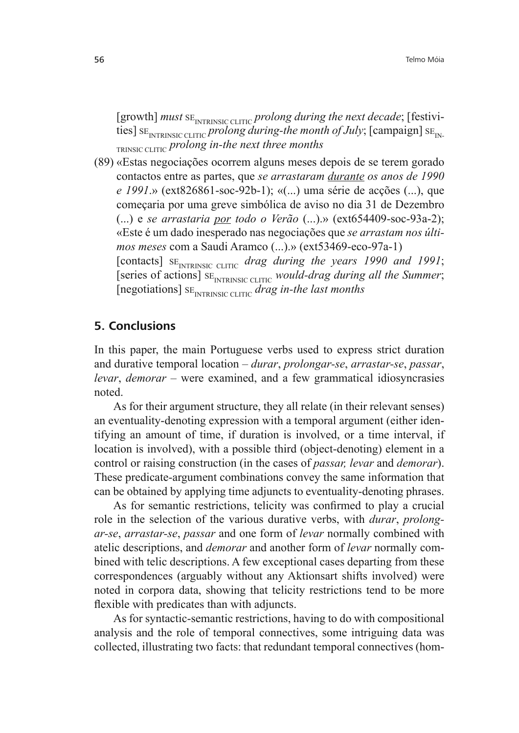[growth] must SE<sub>INTRINSIC CLITIC</sub> prolong during the next decade; [festivities]  $SE<sub>INTRINSIC CLITIC</sub>$  *prolong during-the month of July*; [campaign]  $SE<sub>IN</sub>$ . TRINSIC CLITIC *prolong in-the next three months*

(89) «Estas negociações ocorrem alguns meses depois de se terem gorado contactos entre as partes, que *se arrastaram durante os anos de 1990 e 1991*.» (ext826861-soc-92b-1); «(...) uma série de acções (...), que começaria por uma greve simbólica de aviso no dia 31 de Dezembro (...) e *se arrastaria por todo o Verão* (...).» (ext654409-soc-93a-2); «Este é um dado inesperado nas negociações que *se arrastam nos últimos meses* com a Saudi Aramco (...).» (ext53469-eco-97a-1) [contacts] SE<sub>INTRINSIC CLITIC</sub> drag during the years 1990 and 1991; [series of actions]  $SE<sub>INTRINSIC CLITIC</sub>$  *would-drag during all the Summer*; [negotiations] SE<sub>INTRINSIC CLITIC</sub> drag in-the last months

### **5. Conclusions**

In this paper, the main Portuguese verbs used to express strict duration and durative temporal location – *durar*, *prolongar-se*, *arrastar-se*, *passar*, *levar*, *demorar* – were examined, and a few grammatical idiosyncrasies noted.

As for their argument structure, they all relate (in their relevant senses) an eventuality-denoting expression with a temporal argument (either identifying an amount of time, if duration is involved, or a time interval, if location is involved), with a possible third (object-denoting) element in a control or raising construction (in the cases of *passar, levar* and *demorar*). These predicate-argument combinations convey the same information that can be obtained by applying time adjuncts to eventuality-denoting phrases.

As for semantic restrictions, telicity was confirmed to play a crucial role in the selection of the various durative verbs, with *durar*, *prolongar-se*, *arrastar-se*, *passar* and one form of *levar* normally combined with atelic descriptions, and *demorar* and another form of *levar* normally combined with telic descriptions. A few exceptional cases departing from these correspondences (arguably without any Aktionsart shifts involved) were noted in corpora data, showing that telicity restrictions tend to be more flexible with predicates than with adjuncts.

As for syntactic-semantic restrictions, having to do with compositional analysis and the role of temporal connectives, some intriguing data was collected, illustrating two facts: that redundant temporal connectives (hom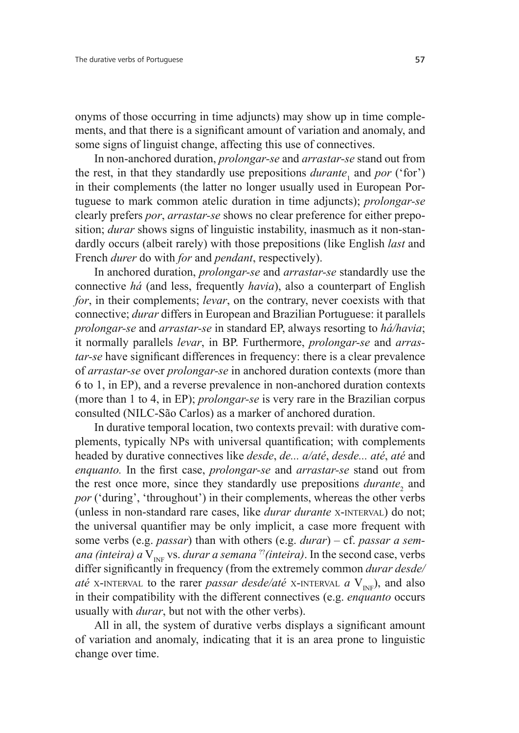onyms of those occurring in time adjuncts) may show up in time complements, and that there is a significant amount of variation and anomaly, and some signs of linguist change, affecting this use of connectives.

In non-anchored duration, *prolongar-se* and *arrastar-se* stand out from the rest, in that they standardly use prepositions  $\textit{duration}$  and  $\textit{por}$  ('for') in their complements (the latter no longer usually used in European Portuguese to mark common atelic duration in time adjuncts); *prolongar-se*  clearly prefers *por*, *arrastar-se* shows no clear preference for either preposition; *durar* shows signs of linguistic instability, inasmuch as it non-standardly occurs (albeit rarely) with those prepositions (like English *last* and French *durer* do with *for* and *pendant*, respectively).

In anchored duration, *prolongar-se* and *arrastar-se* standardly use the connective *há* (and less, frequently *havia*), also a counterpart of English *for*, in their complements; *levar*, on the contrary, never coexists with that connective; *durar* differs in European and Brazilian Portuguese: it parallels *prolongar-se* and *arrastar-se* in standard EP, always resorting to *há/havia*; it normally parallels *levar*, in BP. Furthermore, *prolongar-se* and *arrastar-se* have significant differences in frequency: there is a clear prevalence of *arrastar-se* over *prolongar-se* in anchored duration contexts (more than 6 to 1, in EP), and a reverse prevalence in non-anchored duration contexts (more than 1 to 4, in EP); *prolongar-se* is very rare in the Brazilian corpus consulted (NILC-São Carlos) as a marker of anchored duration.

In durative temporal location, two contexts prevail: with durative complements, typically NPs with universal quantification; with complements headed by durative connectives like *desde*, *de... a/até*, *desde... até*, *até* and *enquanto.* In the first case, *prolongar-se* and *arrastar-se* stand out from the rest once more, since they standardly use prepositions *durante*<sub>2</sub> and *por* ('during', 'throughout') in their complements, whereas the other verbs (unless in non-standard rare cases, like *durar durante* X-INTERVAL) do not; the universal quantifier may be only implicit, a case more frequent with some verbs (e.g. *passar*) than with others (e.g. *durar*) – cf. *passar a semana (inteira) a*  $V_{I_{N}}$  vs. *durar a semana* <sup>??</sup>*(inteira)*. In the second case, verbs differ significantly in frequency (from the extremely common *durar desde/ até* X-INTERVAL to the rarer *passar desde/até* X-INTERVAL  $a$  V<sub>INF</sub>), and also in their compatibility with the different connectives (e.g. *enquanto* occurs usually with *durar*, but not with the other verbs).

All in all, the system of durative verbs displays a significant amount of variation and anomaly, indicating that it is an area prone to linguistic change over time.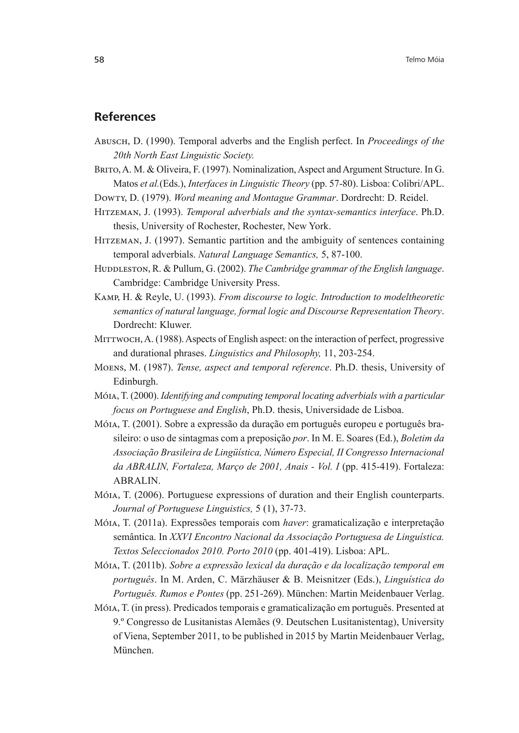#### **References**

- Abusch, D. (1990). Temporal adverbs and the English perfect. In *Proceedings of the*  20th North East Linguistic Society.
- BRITO, A. M. & Oliveira, F. (1997). Nominalization, Aspect and Argument Structure. In G. Matos *et al.*(Eds.), *Interfaces in Linguistic Theory* (pp. 57-80). Lisboa: Colibri/APL.
- Dowty, D. (1979). *Word meaning and Montague Grammar*. Dordrecht: D. Reidel.
- Hitzeman, J. (1993). *Temporal adverbials and the syntax-semantics interface*. Ph.D. thesis, University of Rochester, Rochester, New York.
- HITZEMAN, J. (1997). Semantic partition and the ambiguity of sentences containing temporal adverbials. *Natural Language Semantics*, 5, 87-100.
- Huddleston, R. & Pullum, G. (2002). *The Cambridge grammar of the English language*. Cambridge: Cambridge University Press.
- Kamp, H. & Reyle, U. (1993). *From discourse to logic. Introduction to modeltheoretic semantics of natural language, formal logic and Discourse Representation Theory*. Dordrecht: Kluwer.
- MITTWOCH, A. (1988). Aspects of English aspect: on the interaction of perfect, progressive and durational phrases. *Linguistics and Philosophy,* 11, 203-254.
- Moens, M. (1987). *Tense, aspect and temporal reference*. Ph.D. thesis, University of Edinburgh.
- Móia, T. (2000). *Identifying and computing temporal locating adverbials with a particular focus on Portuguese and English*, Ph.D. thesis, Universidade de Lisboa.
- Móia, T. (2001). Sobre a expressão da duração em português europeu e português brasileiro: o uso de sintagmas com a preposição *por*. In M. E. Soares (Ed.), *Boletim da*   $A$ ssociação Brasileira de Lingüística, Número Especial, II Congresso Internacional da ABRALIN, Fortaleza, Março de 2001, Anais - Vol. I (pp. 415-419). Fortaleza: ABRALIN.
- Móia, T. (2006). Portuguese expressions of duration and their English counterparts. *Journal of Portuguese Linguistics,* 5 (1), 37-73.
- Móia, T. (2011a). Expressões temporais com *haver*: gramaticalização e interpretação semântica. In *XXVI Encontro Nacional da Associação Portuguesa de Linguística. Textos Seleccionados 2010. Porto 2010* (pp. 401-419). Lisboa: APL.
- Móia, T. (2011b). *Sobre a expressão lexical da duração e da localização temporal em português*. In M. Arden, C. Märzhäuser & B. Meisnitzer (Eds.), *Linguística do Português. Rumos e Pontes* (pp. 251-269). München: Martin Meidenbauer Verlag.
- Móia, T. (in press). Predicados temporais e gramaticalização em português. Presented at 9.º Congresso de Lusitanistas Alemães (9. Deutschen Lusitanistentag), University of Viena, September 2011, to be published in 2015 by Martin Meidenbauer Verlag, München.